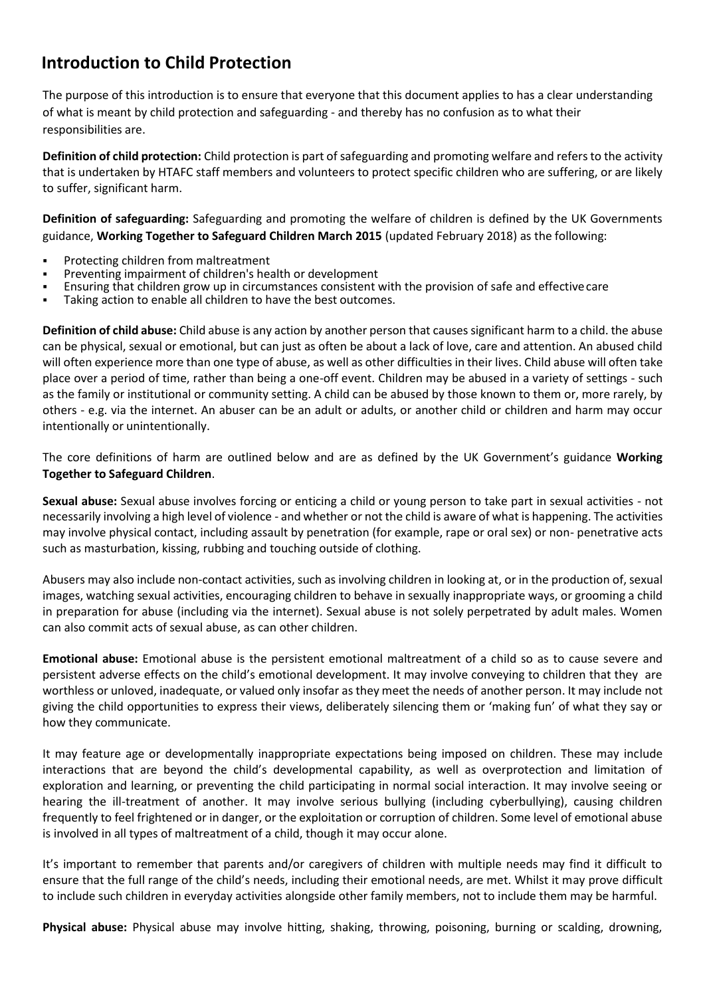# **Introduction to Child Protection**

The purpose of this introduction is to ensure that everyone that this document applies to has a clear understanding of what is meant by child protection and safeguarding - and thereby has no confusion as to what their responsibilities are.

**Definition of child protection:** Child protection is part of safeguarding and promoting welfare and refers to the activity that is undertaken by HTAFC staff members and volunteers to protect specific children who are suffering, or are likely to suffer, significant harm.

**Definition of safeguarding:** Safeguarding and promoting the welfare of children is defined by the UK Governments guidance, **Working Together to Safeguard Children March 2015** (updated February 2018) as the following:

- Protecting children from maltreatment
- Preventing impairment of children's health or development
- Ensuring that children grow up in circumstances consistent with the provision of safe and effective care
- Taking action to enable all children to have the best outcomes.

**Definition of child abuse:** Child abuse is any action by another person that causes significant harm to a child. the abuse can be physical, sexual or emotional, but can just as often be about a lack of love, care and attention. An abused child will often experience more than one type of abuse, as well as other difficulties in their lives. Child abuse will often take place over a period of time, rather than being a one-off event. Children may be abused in a variety of settings - such as the family or institutional or community setting. A child can be abused by those known to them or, more rarely, by others - e.g. via the internet. An abuser can be an adult or adults, or another child or children and harm may occur intentionally or unintentionally.

The core definitions of harm are outlined below and are as defined by the UK Government's guidance **Working Together to Safeguard Children**.

**Sexual abuse:** Sexual abuse involves forcing or enticing a child or young person to take part in sexual activities - not necessarily involving a high level of violence - and whether or not the child is aware of what is happening. The activities may involve physical contact, including assault by penetration (for example, rape or oral sex) or non- penetrative acts such as masturbation, kissing, rubbing and touching outside of clothing.

Abusers may also include non-contact activities, such as involving children in looking at, or in the production of, sexual images, watching sexual activities, encouraging children to behave in sexually inappropriate ways, or grooming a child in preparation for abuse (including via the internet). Sexual abuse is not solely perpetrated by adult males. Women can also commit acts of sexual abuse, as can other children.

**Emotional abuse:** Emotional abuse is the persistent emotional maltreatment of a child so as to cause severe and persistent adverse effects on the child's emotional development. It may involve conveying to children that they are worthless or unloved, inadequate, or valued only insofar as they meet the needs of another person. It may include not giving the child opportunities to express their views, deliberately silencing them or 'making fun' of what they say or how they communicate.

It may feature age or developmentally inappropriate expectations being imposed on children. These may include interactions that are beyond the child's developmental capability, as well as overprotection and limitation of exploration and learning, or preventing the child participating in normal social interaction. It may involve seeing or hearing the ill-treatment of another. It may involve serious bullying (including cyberbullying), causing children frequently to feel frightened or in danger, or the exploitation or corruption of children. Some level of emotional abuse is involved in all types of maltreatment of a child, though it may occur alone.

It's important to remember that parents and/or caregivers of children with multiple needs may find it difficult to ensure that the full range of the child's needs, including their emotional needs, are met. Whilst it may prove difficult to include such children in everyday activities alongside other family members, not to include them may be harmful.

**Physical abuse:** Physical abuse may involve hitting, shaking, throwing, poisoning, burning or scalding, drowning,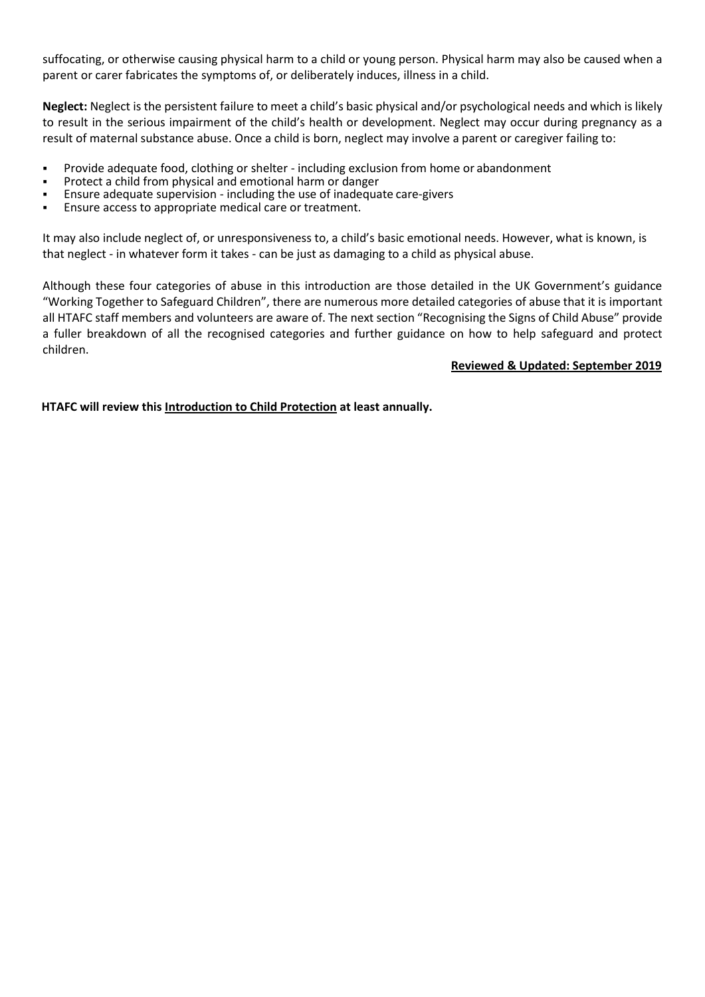suffocating, or otherwise causing physical harm to a child or young person. Physical harm may also be caused when a parent or carer fabricates the symptoms of, or deliberately induces, illness in a child.

**Neglect:** Neglect is the persistent failure to meet a child's basic physical and/or psychological needs and which is likely to result in the serious impairment of the child's health or development. Neglect may occur during pregnancy as a result of maternal substance abuse. Once a child is born, neglect may involve a parent or caregiver failing to:

- Provide adequate food, clothing or shelter including exclusion from home or abandonment
- Protect a child from physical and emotional harm or danger
- Ensure adequate supervision including the use of inadequate care-givers
- Ensure access to appropriate medical care or treatment.

It may also include neglect of, or unresponsiveness to, a child's basic emotional needs. However, what is known, is that neglect - in whatever form it takes - can be just as damaging to a child as physical abuse.

Although these four categories of abuse in this introduction are those detailed in the UK Government's guidance "Working Together to Safeguard Children", there are numerous more detailed categories of abuse that it is important all HTAFC staff members and volunteers are aware of. The next section "Recognising the Signs of Child Abuse" provide a fuller breakdown of all the recognised categories and further guidance on how to help safeguard and protect children.

#### **Reviewed & Updated: September 2019**

**HTAFC will review this Introduction to Child Protection at least annually.**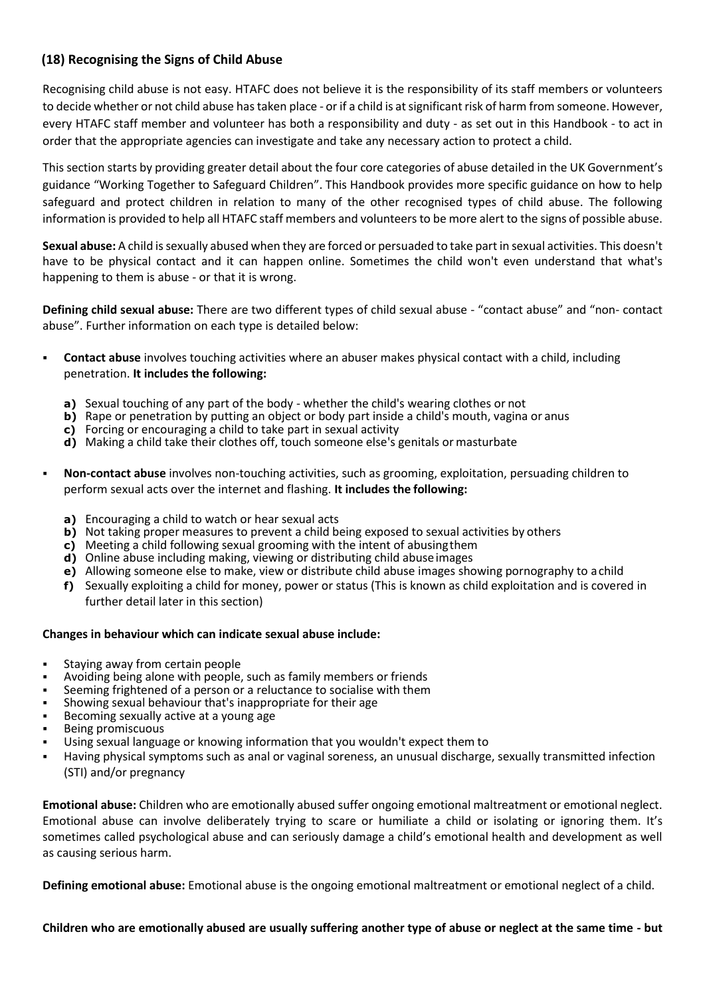# **(18) Recognising the Signs of Child Abuse**

Recognising child abuse is not easy. HTAFC does not believe it is the responsibility of its staff members or volunteers to decide whether or not child abuse has taken place - or if a child is at significant risk of harm from someone. However, every HTAFC staff member and volunteer has both a responsibility and duty - as set out in this Handbook - to act in order that the appropriate agencies can investigate and take any necessary action to protect a child.

This section starts by providing greater detail about the four core categories of abuse detailed in the UK Government's guidance "Working Together to Safeguard Children". This Handbook provides more specific guidance on how to help safeguard and protect children in relation to many of the other recognised types of child abuse. The following information is provided to help all HTAFC staff members and volunteers to be more alert to the signs of possible abuse.

**Sexual abuse:** A child is sexually abused when they are forced or persuaded to take part in sexual activities. This doesn't have to be physical contact and it can happen online. Sometimes the child won't even understand that what's happening to them is abuse - or that it is wrong.

**Defining child sexual abuse:** There are two different types of child sexual abuse - "contact abuse" and "non- contact abuse". Further information on each type is detailed below:

- **Contact abuse** involves touching activities where an abuser makes physical contact with a child, including penetration. **It includes the following:**
	- **a)** Sexual touching of any part of the body whether the child's wearing clothes or not
	- **b)** Rape or penetration by putting an object or body part inside a child's mouth, vagina or anus
	- **c)** Forcing or encouraging a child to take part in sexual activity
	- **d)** Making a child take their clothes off, touch someone else's genitals or masturbate
- **Non-contact abuse** involves non-touching activities, such as grooming, exploitation, persuading children to perform sexual acts over the internet and flashing. **It includes the following:**
	- **a)** Encouraging a child to watch or hear sexual acts
	- **b)** Not taking proper measures to prevent a child being exposed to sexual activities by others
	- **c)** Meeting a child following sexual grooming with the intent of abusingthem
	- **d)** Online abuse including making, viewing or distributing child abuseimages
	- **e)** Allowing someone else to make, view or distribute child abuse images showing pornography to achild
	- **f)** Sexually exploiting a child for money, power or status (This is known as child exploitation and is covered in further detail later in this section)

#### **Changes in behaviour which can indicate sexual abuse include:**

- Staying away from certain people
- Avoiding being alone with people, such as family members or friends
- Seeming frightened of a person or a reluctance to socialise with them
- Showing sexual behaviour that's inappropriate for their age
- Becoming sexually active at a young age
- **Being promiscuous**
- Using sexual language or knowing information that you wouldn't expect them to
- Having physical symptoms such as anal or vaginal soreness, an unusual discharge, sexually transmitted infection (STI) and/or pregnancy

**Emotional abuse:** Children who are emotionally abused suffer ongoing emotional maltreatment or emotional neglect. Emotional abuse can involve deliberately trying to scare or humiliate a child or isolating or ignoring them. It's sometimes called psychological abuse and can seriously damage a child's emotional health and development as well as causing serious harm.

**Defining emotional abuse:** Emotional abuse is the ongoing emotional maltreatment or emotional neglect of a child.

#### **Children who are emotionally abused are usually suffering another type of abuse or neglect at the same time - but**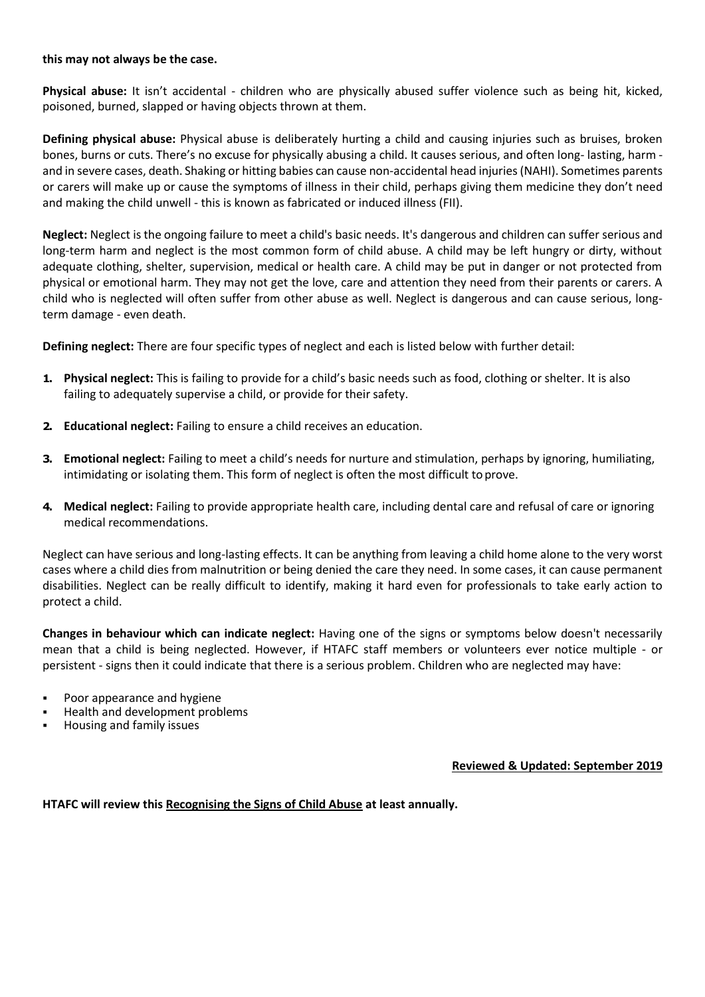#### **this may not always be the case.**

**Physical abuse:** It isn't accidental - children who are physically abused suffer violence such as being hit, kicked, poisoned, burned, slapped or having objects thrown at them.

**Defining physical abuse:** Physical abuse is deliberately hurting a child and causing injuries such as bruises, broken bones, burns or cuts. There's no excuse for physically abusing a child. It causes serious, and often long- lasting, harm and in severe cases, death. Shaking or hitting babies can cause non-accidental head injuries (NAHI). Sometimes parents or carers will make up or cause the symptoms of illness in their child, perhaps giving them medicine they don't need and making the child unwell - this is known as fabricated or induced illness (FII).

**Neglect:** Neglect is the ongoing failure to meet a child's basic needs. It's dangerous and children can suffer serious and long-term harm and neglect is the most common form of child abuse. A child may be left hungry or dirty, without adequate clothing, shelter, supervision, medical or health care. A child may be put in danger or not protected from physical or emotional harm. They may not get the love, care and attention they need from their parents or carers. A child who is neglected will often suffer from other abuse as well. Neglect is dangerous and can cause serious, longterm damage - even death.

**Defining neglect:** There are four specific types of neglect and each is listed below with further detail:

- **1. Physical neglect:** This is failing to provide for a child's basic needs such as food, clothing or shelter. It is also failing to adequately supervise a child, or provide for their safety.
- **2. Educational neglect:** Failing to ensure a child receives an education.
- **3. Emotional neglect:** Failing to meet a child's needs for nurture and stimulation, perhaps by ignoring, humiliating, intimidating or isolating them. This form of neglect is often the most difficult to prove.
- **4. Medical neglect:** Failing to provide appropriate health care, including dental care and refusal of care or ignoring medical recommendations.

Neglect can have serious and long-lasting effects. It can be anything from leaving a child home alone to the very worst cases where a child dies from malnutrition or being denied the care they need. In some cases, it can cause permanent disabilities. Neglect can be really difficult to identify, making it hard even for professionals to take early action to protect a child.

**Changes in behaviour which can indicate neglect:** Having one of the signs or symptoms below doesn't necessarily mean that a child is being neglected. However, if HTAFC staff members or volunteers ever notice multiple - or persistent - signs then it could indicate that there is a serious problem. Children who are neglected may have:

- Poor appearance and hygiene
- Health and development problems
- Housing and family issues

**Reviewed & Updated: September 2019**

**HTAFC will review this Recognising the Signs of Child Abuse at least annually.**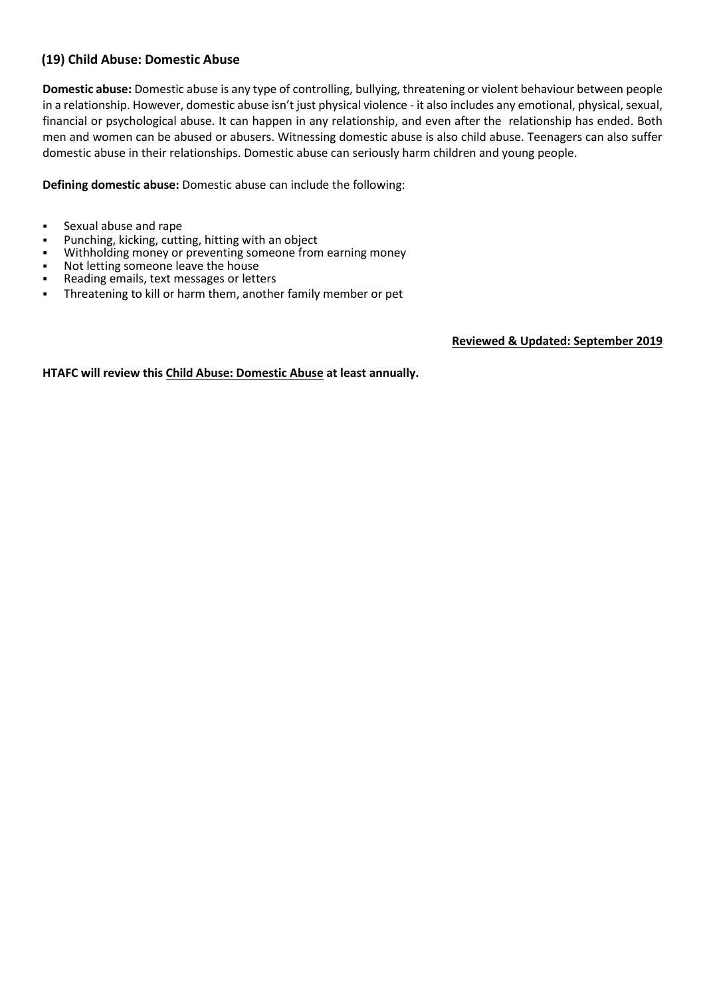# **(19) Child Abuse: Domestic Abuse**

**Domestic abuse:** Domestic abuse is any type of controlling, bullying, threatening or violent behaviour between people in a relationship. However, domestic abuse isn't just physical violence - it also includes any emotional, physical, sexual, financial or psychological abuse. It can happen in any relationship, and even after the relationship has ended. Both men and women can be abused or abusers. Witnessing domestic abuse is also child abuse. Teenagers can also suffer domestic abuse in their relationships. Domestic abuse can seriously harm children and young people.

**Defining domestic abuse:** Domestic abuse can include the following:

- Sexual abuse and rape
- Punching, kicking, cutting, hitting with an object
- Withholding money or preventing someone from earning money
- Not letting someone leave the house
- Reading emails, text messages or letters
- **•** Threatening to kill or harm them, another family member or pet

**Reviewed & Updated: September 2019**

**HTAFC will review this Child Abuse: Domestic Abuse at least annually.**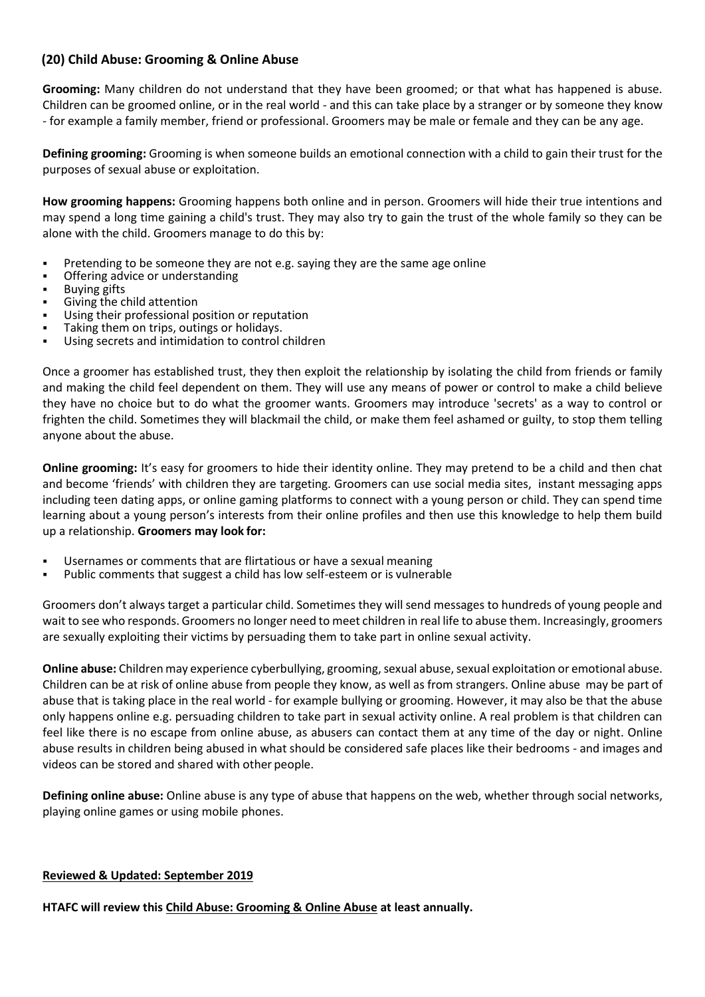# **(20) Child Abuse: Grooming & Online Abuse**

**Grooming:** Many children do not understand that they have been groomed; or that what has happened is abuse. Children can be groomed online, or in the real world - and this can take place by a stranger or by someone they know - for example a family member, friend or professional. Groomers may be male or female and they can be any age.

**Defining grooming:** Grooming is when someone builds an emotional connection with a child to gain their trust for the purposes of sexual abuse or exploitation.

**How grooming happens:** Grooming happens both online and in person. Groomers will hide their true intentions and may spend a long time gaining a child's trust. They may also try to gain the trust of the whole family so they can be alone with the child. Groomers manage to do this by:

- Pretending to be someone they are not e.g. saying they are the same age online
- Offering advice or understanding
- **Buying gifts**
- Giving the child attention
- Using their professional position or reputation
- Taking them on trips, outings or holidays.
- Using secrets and intimidation to control children

Once a groomer has established trust, they then exploit the relationship by isolating the child from friends or family and making the child feel dependent on them. They will use any means of power or control to make a child believe they have no choice but to do what the groomer wants. Groomers may introduce 'secrets' as a way to control or frighten the child. Sometimes they will blackmail the child, or make them feel ashamed or guilty, to stop them telling anyone about the abuse.

**Online grooming:** It's easy for groomers to hide their identity online. They may pretend to be a child and then chat and become 'friends' with children they are targeting. Groomers can use social media sites, instant messaging apps including teen dating apps, or online gaming platforms to connect with a young person or child. They can spend time learning about a young person's interests from their online profiles and then use this knowledge to help them build up a relationship. **Groomers may look for:**

- Usernames or comments that are flirtatious or have a sexual meaning
- Public comments that suggest a child has low self-esteem or is vulnerable

Groomers don't always target a particular child. Sometimes they will send messages to hundreds of young people and wait to see who responds. Groomers no longer need to meet children in real life to abuse them. Increasingly, groomers are sexually exploiting their victims by persuading them to take part in online sexual activity.

**Online abuse:** Children may experience cyberbullying, grooming, sexual abuse, sexual exploitation or emotional abuse. Children can be at risk of online abuse from people they know, as well as from strangers. Online abuse may be part of abuse that is taking place in the real world - for example bullying or grooming. However, it may also be that the abuse only happens online e.g. persuading children to take part in sexual activity online. A real problem is that children can feel like there is no escape from online abuse, as abusers can contact them at any time of the day or night. Online abuse results in children being abused in what should be considered safe places like their bedrooms - and images and videos can be stored and shared with other people.

**Defining online abuse:** Online abuse is any type of abuse that happens on the web, whether through social networks, playing online games or using mobile phones.

#### **Reviewed & Updated: September 2019**

**HTAFC will review this Child Abuse: Grooming & Online Abuse at least annually.**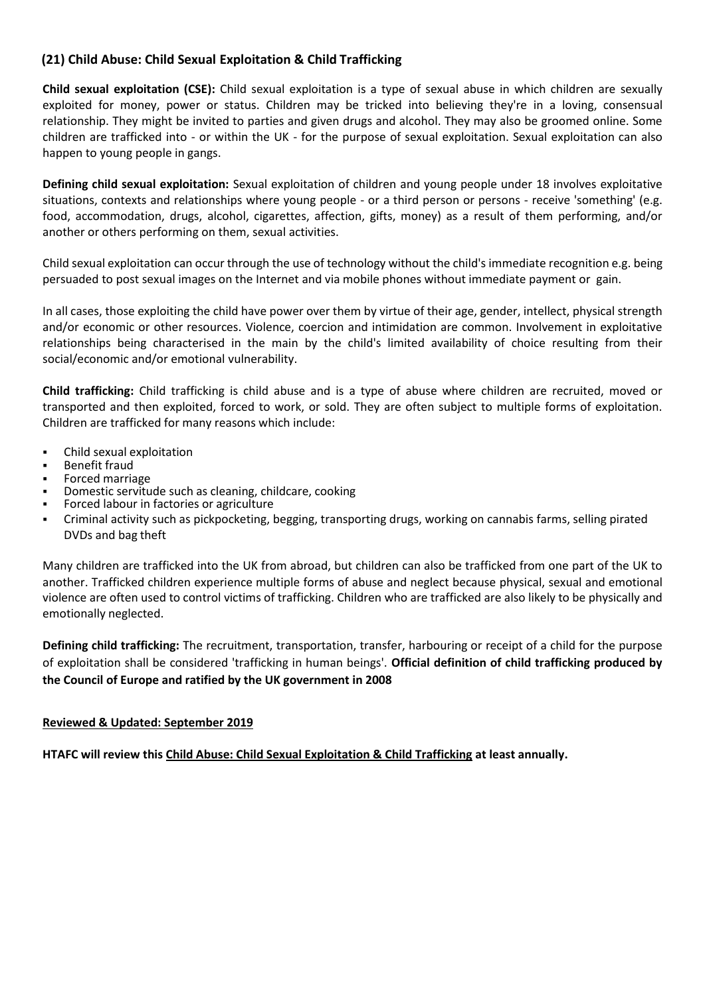# **(21) Child Abuse: Child Sexual Exploitation & Child Trafficking**

**Child sexual exploitation (CSE):** Child sexual exploitation is a type of sexual abuse in which children are sexually exploited for money, power or status. Children may be tricked into believing they're in a loving, consensual relationship. They might be invited to parties and given drugs and alcohol. They may also be groomed online. Some children are trafficked into - or within the UK - for the purpose of sexual exploitation. Sexual exploitation can also happen to young people in gangs.

**Defining child sexual exploitation:** Sexual exploitation of children and young people under 18 involves exploitative situations, contexts and relationships where young people - or a third person or persons - receive 'something' (e.g. food, accommodation, drugs, alcohol, cigarettes, affection, gifts, money) as a result of them performing, and/or another or others performing on them, sexual activities.

Child sexual exploitation can occur through the use of technology without the child's immediate recognition e.g. being persuaded to post sexual images on the Internet and via mobile phones without immediate payment or gain.

In all cases, those exploiting the child have power over them by virtue of their age, gender, intellect, physical strength and/or economic or other resources. Violence, coercion and intimidation are common. Involvement in exploitative relationships being characterised in the main by the child's limited availability of choice resulting from their social/economic and/or emotional vulnerability.

**Child trafficking:** Child trafficking is child abuse and is a type of abuse where children are recruited, moved or transported and then exploited, forced to work, or sold. They are often subject to multiple forms of exploitation. Children are trafficked for many reasons which include:

- Child sexual exploitation
- **Benefit fraud**
- Forced marriage
- Domestic servitude such as cleaning, childcare, cooking
- Forced labour in factories or agriculture
- Criminal activity such as pickpocketing, begging, transporting drugs, working on cannabis farms, selling pirated DVDs and bag theft

Many children are trafficked into the UK from abroad, but children can also be trafficked from one part of the UK to another. Trafficked children experience multiple forms of abuse and neglect because physical, sexual and emotional violence are often used to control victims of trafficking. Children who are trafficked are also likely to be physically and emotionally neglected.

**Defining child trafficking:** The recruitment, transportation, transfer, harbouring or receipt of a child for the purpose of exploitation shall be considered 'trafficking in human beings'. **Official definition of child trafficking produced by the Council of Europe and ratified by the UK government in 2008**

#### **Reviewed & Updated: September 2019**

**HTAFC will review this Child Abuse: Child Sexual Exploitation & Child Trafficking at least annually.**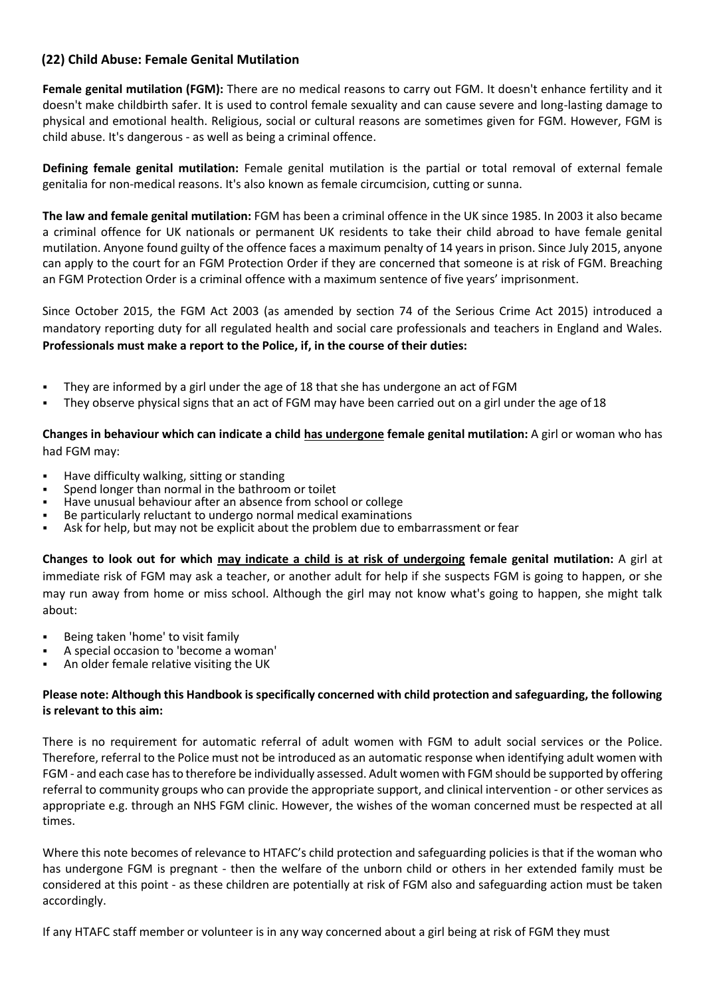# **(22) Child Abuse: Female Genital Mutilation**

**Female genital mutilation (FGM):** There are no medical reasons to carry out FGM. It doesn't enhance fertility and it doesn't make childbirth safer. It is used to control female sexuality and can cause severe and long-lasting damage to physical and emotional health. Religious, social or cultural reasons are sometimes given for FGM. However, FGM is child abuse. It's dangerous - as well as being a criminal offence.

**Defining female genital mutilation:** Female genital mutilation is the partial or total removal of external female genitalia for non-medical reasons. It's also known as female circumcision, cutting or sunna.

**The law and female genital mutilation:** FGM has been a criminal offence in the UK since 1985. In 2003 it also became a criminal offence for UK nationals or permanent UK residents to take their child abroad to have female genital mutilation. Anyone found guilty of the offence faces a maximum penalty of 14 years in prison. Since July 2015, anyone can apply to the court for an FGM Protection Order if they are concerned that someone is at risk of FGM. Breaching an FGM Protection Order is a criminal offence with a maximum sentence of five years' imprisonment.

Since October 2015, the FGM Act 2003 (as amended by section 74 of the Serious Crime Act 2015) introduced a mandatory reporting duty for all regulated health and social care professionals and teachers in England and Wales. **Professionals must make a report to the Police, if, in the course of their duties:**

- They are informed by a girl under the age of 18 that she has undergone an act of FGM
- They observe physical signs that an act of FGM may have been carried out on a girl under the age of 18

**Changes in behaviour which can indicate a child has undergone female genital mutilation:** A girl or woman who has had FGM may:

- Have difficulty walking, sitting or standing
- Spend longer than normal in the bathroom or toilet
- Have unusual behaviour after an absence from school or college
- Be particularly reluctant to undergo normal medical examinations
- Ask for help, but may not be explicit about the problem due to embarrassment or fear

**Changes to look out for which may indicate a child is at risk of undergoing female genital mutilation:** A girl at immediate risk of FGM may ask a teacher, or another adult for help if she suspects FGM is going to happen, or she may run away from home or miss school. Although the girl may not know what's going to happen, she might talk about:

- Being taken 'home' to visit family
- A special occasion to 'become a woman'
- An older female relative visiting the UK

### **Please note: Although this Handbook is specifically concerned with child protection and safeguarding, the following is relevant to this aim:**

There is no requirement for automatic referral of adult women with FGM to adult social services or the Police. Therefore, referral to the Police must not be introduced as an automatic response when identifying adult women with FGM - and each case has to therefore be individually assessed. Adult women with FGM should be supported by offering referral to community groups who can provide the appropriate support, and clinical intervention - or other services as appropriate e.g. through an NHS FGM clinic. However, the wishes of the woman concerned must be respected at all times.

Where this note becomes of relevance to HTAFC's child protection and safeguarding policies is that if the woman who has undergone FGM is pregnant - then the welfare of the unborn child or others in her extended family must be considered at this point - as these children are potentially at risk of FGM also and safeguarding action must be taken accordingly.

If any HTAFC staff member or volunteer is in any way concerned about a girl being at risk of FGM they must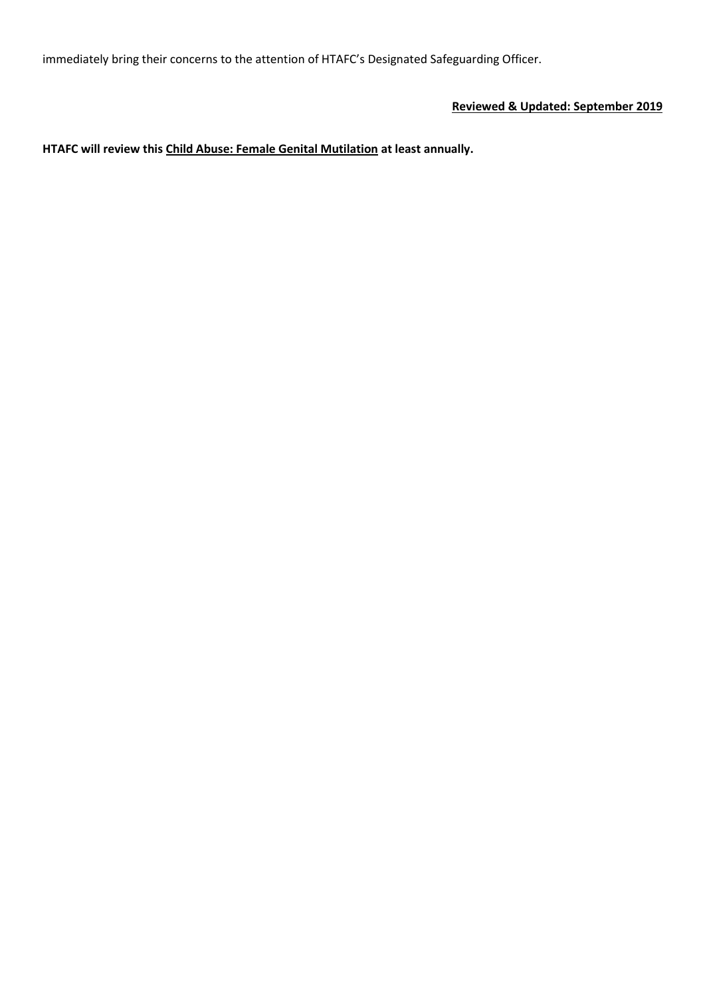immediately bring their concerns to the attention of HTAFC's Designated Safeguarding Officer.

# **Reviewed & Updated: September 2019**

**HTAFC will review this Child Abuse: Female Genital Mutilation at least annually.**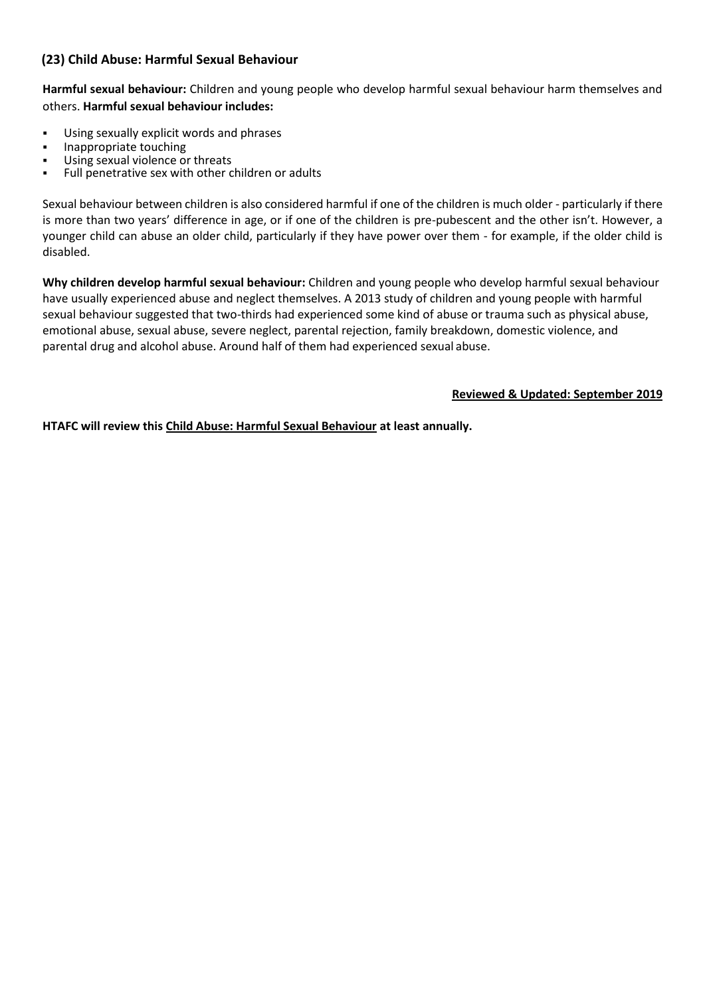# **(23) Child Abuse: Harmful Sexual Behaviour**

**Harmful sexual behaviour:** Children and young people who develop harmful sexual behaviour harm themselves and others. **Harmful sexual behaviour includes:**

- Using sexually explicit words and phrases
- **■** Inappropriate touching<br>■ Ilsing sexual violence of
- Using sexual violence or threats<br>■ Full penetrative sex with other c
- Full penetrative sex with other children or adults

Sexual behaviour between children is also considered harmful if one of the children is much older - particularly if there is more than two years' difference in age, or if one of the children is pre-pubescent and the other isn't. However, a younger child can abuse an older child, particularly if they have power over them - for example, if the older child is disabled.

**Why children develop harmful sexual behaviour:** Children and young people who develop harmful sexual behaviour have usually experienced abuse and neglect themselves. A 2013 study of children and young people with harmful sexual behaviour suggested that two-thirds had experienced some kind of abuse or trauma such as physical abuse, emotional abuse, sexual abuse, severe neglect, parental rejection, family breakdown, domestic violence, and parental drug and alcohol abuse. Around half of them had experienced sexual abuse.

**Reviewed & Updated: September 2019**

**HTAFC will review this Child Abuse: Harmful Sexual Behaviour at least annually.**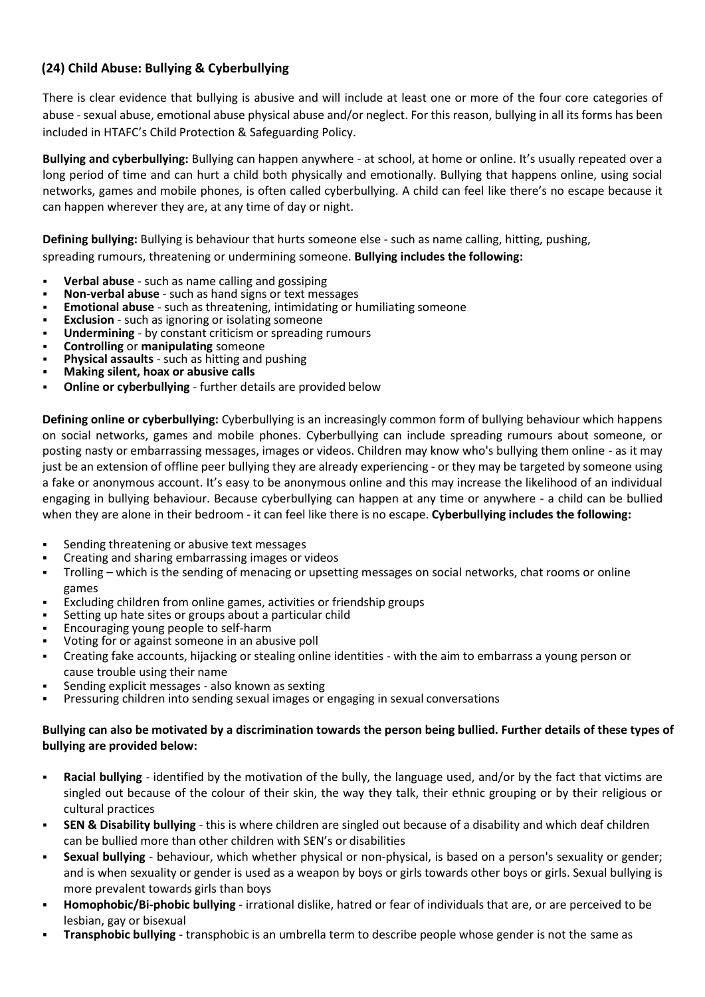# **(24) Child Abuse: Bullying & Cyberbullying**

There is clear evidence that bullying is abusive and will include at least one or more of the four core categories of abuse - sexual abuse, emotional abuse physical abuse and/or neglect. For this reason, bullying in all its forms has been included in HTAFC's Child Protection & Safeguarding Policy.

**Bullying and cyberbullying:** Bullying can happen anywhere - at school, at home or online. It's usually repeated over a long period of time and can hurt a child both physically and emotionally. Bullying that happens online, using social networks, games and mobile phones, is often called cyberbullying. A child can feel like there's no escape because it can happen wherever they are, at any time of day or night.

**Defining bullying:** Bullying is behaviour that hurts someone else - such as name calling, hitting, pushing,

spreading rumours, threatening or undermining someone. **Bullying includes the following:**

- **Verbal abuse** such as name calling and gossiping
- **Non-verbal abuse** such as hand signs or text messages
- **Emotional abuse** such as threatening, intimidating or humiliating someone
- **Exclusion** such as ignoring or isolating someone
- **Undermining by constant criticism or spreading rumours**
- **Controlling or manipulating** someone
- **Physical assaults** such as hitting and pushing
- **Making silent, hoax or abusive calls**
- **Online or cyberbullying further details are provided below**

**Defining online or cyberbullying:** Cyberbullying is an increasingly common form of bullying behaviour which happens on social networks, games and mobile phones. Cyberbullying can include spreading rumours about someone, or posting nasty or embarrassing messages, images or videos. Children may know who's bullying them online - as it may just be an extension of offline peer bullying they are already experiencing - or they may be targeted by someone using a fake or anonymous account. It's easy to be anonymous online and this may increase the likelihood of an individual engaging in bullying behaviour. Because cyberbullying can happen at any time or anywhere - a child can be bullied when they are alone in their bedroom - it can feel like there is no escape. **Cyberbullying includes the following:**

- Sending threatening or abusive text messages
- Creating and sharing embarrassing images or videos
- Trolling which is the sending of menacing or upsetting messages on social networks, chat rooms or online games
- Excluding children from online games, activities or friendship groups
- Setting up hate sites or groups about a particular child
- Encouraging young people to self-harm
- Voting for or against someone in an abusive poll
- Creating fake accounts, hijacking or stealing online identities with the aim to embarrass a young person or cause trouble using their name
- Sending explicit messages also known as sexting
- Pressuring children into sending sexual images or engaging in sexual conversations

# **Bullying can also be motivated by a discrimination towards the person being bullied. Further details of these types of bullying are provided below:**

- **Racial bullying** identified by the motivation of the bully, the language used, and/or by the fact that victims are singled out because of the colour of their skin, the way they talk, their ethnic grouping or by their religious or cultural practices
- **SEN & Disability bullying** this is where children are singled out because of a disability and which deaf children can be bullied more than other children with SEN's or disabilities
- **Sexual bullying** behaviour, which whether physical or non-physical, is based on a person's sexuality or gender; and is when sexuality or gender is used as a weapon by boys or girls towards other boys or girls. Sexual bullying is more prevalent towards girls than boys
- **Homophobic/Bi-phobic bullying** irrational dislike, hatred or fear of individuals that are, or are perceived to be lesbian, gay or bisexual
- **Transphobic bullying** transphobic is an umbrella term to describe people whose gender is not the same as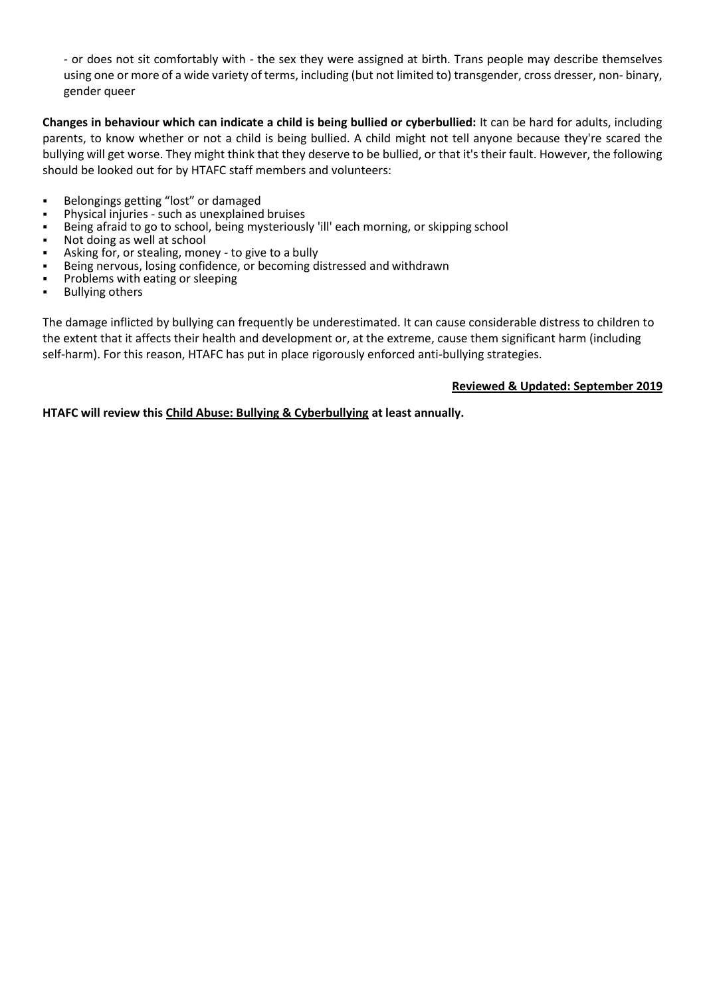- or does not sit comfortably with - the sex they were assigned at birth. Trans people may describe themselves using one or more of a wide variety of terms, including (but not limited to) transgender, cross dresser, non- binary, gender queer

**Changes in behaviour which can indicate a child is being bullied or cyberbullied:** It can be hard for adults, including parents, to know whether or not a child is being bullied. A child might not tell anyone because they're scared the bullying will get worse. They might think that they deserve to be bullied, or that it's their fault. However, the following should be looked out for by HTAFC staff members and volunteers:

- Belongings getting "lost" or damaged
- Physical injuries such as unexplained bruises
- Being afraid to go to school, being mysteriously 'ill' each morning, or skipping school
- Not doing as well at school
- Asking for, or stealing, money to give to a bully
- Being nervous, losing confidence, or becoming distressed and withdrawn
- Problems with eating or sleeping
- **Bullying others**

The damage inflicted by bullying can frequently be underestimated. It can cause considerable distress to children to the extent that it affects their health and development or, at the extreme, cause them significant harm (including self-harm). For this reason, HTAFC has put in place rigorously enforced anti-bullying strategies.

#### **Reviewed & Updated: September 2019**

**HTAFC will review this Child Abuse: Bullying & Cyberbullying at least annually.**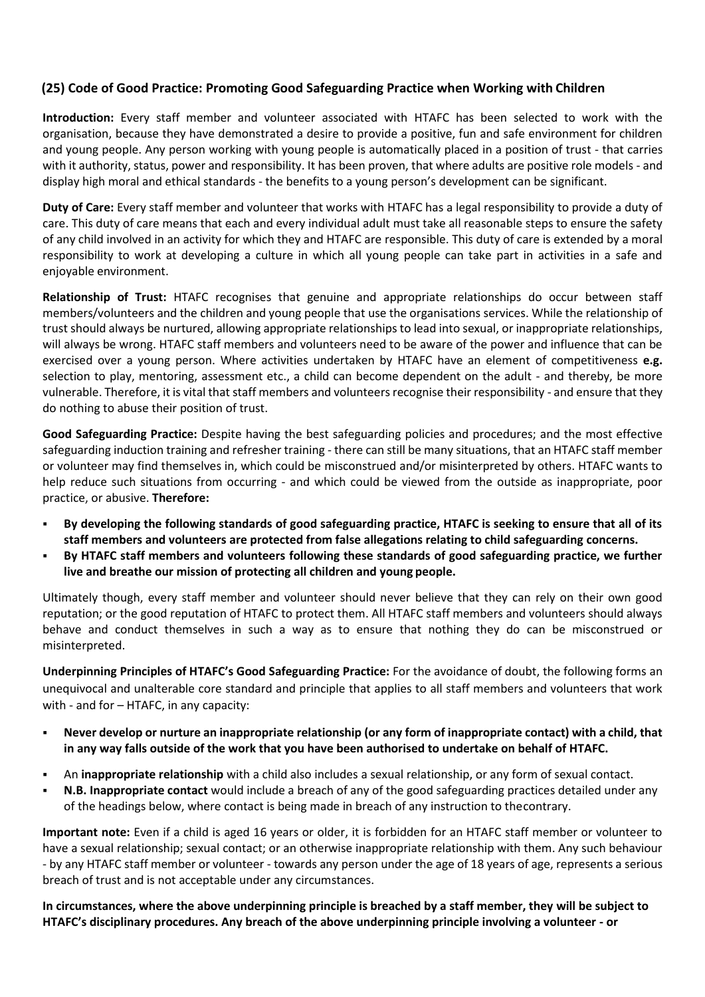# **(25) Code of Good Practice: Promoting Good Safeguarding Practice when Working with Children**

**Introduction:** Every staff member and volunteer associated with HTAFC has been selected to work with the organisation, because they have demonstrated a desire to provide a positive, fun and safe environment for children and young people. Any person working with young people is automatically placed in a position of trust - that carries with it authority, status, power and responsibility. It has been proven, that where adults are positive role models - and display high moral and ethical standards - the benefits to a young person's development can be significant.

**Duty of Care:** Every staff member and volunteer that works with HTAFC has a legal responsibility to provide a duty of care. This duty of care means that each and every individual adult must take all reasonable steps to ensure the safety of any child involved in an activity for which they and HTAFC are responsible. This duty of care is extended by a moral responsibility to work at developing a culture in which all young people can take part in activities in a safe and enjoyable environment.

**Relationship of Trust:** HTAFC recognises that genuine and appropriate relationships do occur between staff members/volunteers and the children and young people that use the organisations services. While the relationship of trust should always be nurtured, allowing appropriate relationships to lead into sexual, or inappropriate relationships, will always be wrong. HTAFC staff members and volunteers need to be aware of the power and influence that can be exercised over a young person. Where activities undertaken by HTAFC have an element of competitiveness **e.g.**  selection to play, mentoring, assessment etc., a child can become dependent on the adult - and thereby, be more vulnerable. Therefore, it is vital that staff members and volunteers recognise their responsibility - and ensure that they do nothing to abuse their position of trust.

**Good Safeguarding Practice:** Despite having the best safeguarding policies and procedures; and the most effective safeguarding induction training and refresher training - there can still be many situations, that an HTAFC staff member or volunteer may find themselves in, which could be misconstrued and/or misinterpreted by others. HTAFC wants to help reduce such situations from occurring - and which could be viewed from the outside as inappropriate, poor practice, or abusive. **Therefore:**

- By developing the following standards of good safeguarding practice, HTAFC is seeking to ensure that all of its **staff members and volunteers are protected from false allegations relating to child safeguarding concerns.**
- **By HTAFC staff members and volunteers following these standards of good safeguarding practice, we further live and breathe our mission of protecting all children and young people.**

Ultimately though, every staff member and volunteer should never believe that they can rely on their own good reputation; or the good reputation of HTAFC to protect them. All HTAFC staff members and volunteers should always behave and conduct themselves in such a way as to ensure that nothing they do can be misconstrued or misinterpreted.

**Underpinning Principles of HTAFC's Good Safeguarding Practice:** For the avoidance of doubt, the following forms an unequivocal and unalterable core standard and principle that applies to all staff members and volunteers that work with - and for – HTAFC, in any capacity:

- **Never develop or nurture an inappropriate relationship (or any form of inappropriate contact) with a child, that in any way falls outside of the work that you have been authorised to undertake on behalf of HTAFC.**
- An **inappropriate relationship** with a child also includes a sexual relationship, or any form of sexual contact.
- **N.B. Inappropriate contact** would include a breach of any of the good safeguarding practices detailed under any of the headings below, where contact is being made in breach of any instruction to thecontrary.

**Important note:** Even if a child is aged 16 years or older, it is forbidden for an HTAFC staff member or volunteer to have a sexual relationship; sexual contact; or an otherwise inappropriate relationship with them. Any such behaviour - by any HTAFC staff member or volunteer - towards any person under the age of 18 years of age, represents a serious breach of trust and is not acceptable under any circumstances.

**In circumstances, where the above underpinning principle is breached by a staff member, they will be subject to HTAFC's disciplinary procedures. Any breach of the above underpinning principle involving a volunteer - or**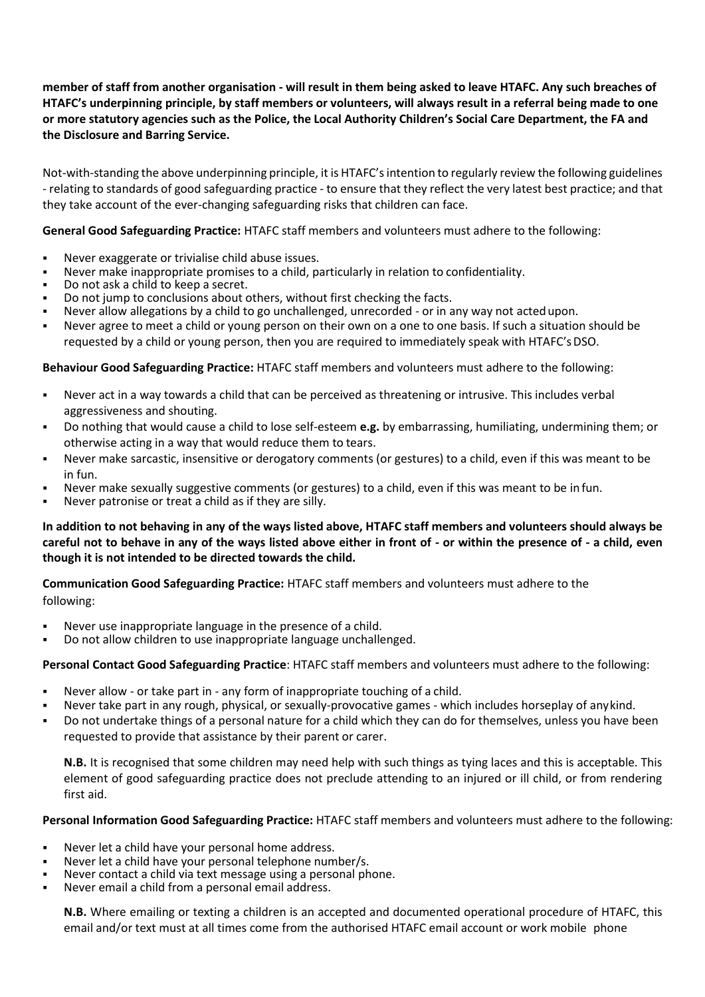## **member of staff from another organisation - will result in them being asked to leave HTAFC. Any such breaches of HTAFC's underpinning principle, by staff members or volunteers, will always result in a referral being made to one or more statutory agencies such as the Police, the Local Authority Children's Social Care Department, the FA and the Disclosure and Barring Service.**

Not-with-standing the above underpinning principle, it is HTAFC's intention to regularly review the following guidelines - relating to standards of good safeguarding practice - to ensure that they reflect the very latest best practice; and that they take account of the ever-changing safeguarding risks that children can face.

**General Good Safeguarding Practice:** HTAFC staff members and volunteers must adhere to the following:

- Never exaggerate or trivialise child abuse issues.
- Never make inappropriate promises to a child, particularly in relation to confidentiality.
- Do not ask a child to keep a secret.
- Do not jump to conclusions about others, without first checking the facts.
- Never allow allegations by a child to go unchallenged, unrecorded or in any way not acted upon.
- Never agree to meet a child or young person on their own on a one to one basis. If such a situation should be requested by a child or young person, then you are required to immediately speak with HTAFC's DSO.

### **Behaviour Good Safeguarding Practice:** HTAFC staff members and volunteers must adhere to the following:

- Never act in a way towards a child that can be perceived as threatening or intrusive. This includes verbal aggressiveness and shouting.
- Do nothing that would cause a child to lose self-esteem **e.g.** by embarrassing, humiliating, undermining them; or otherwise acting in a way that would reduce them to tears.
- Never make sarcastic, insensitive or derogatory comments (or gestures) to a child, even if this was meant to be in fun.
- Never make sexually suggestive comments (or gestures) to a child, even if this was meant to be in fun.
- Never patronise or treat a child as if they are silly.

**In addition to not behaving in any of the ways listed above, HTAFC staff members and volunteers should always be careful not to behave in any of the ways listed above either in front of - or within the presence of - a child, even though it is not intended to be directed towards the child.**

**Communication Good Safeguarding Practice:** HTAFC staff members and volunteers must adhere to the

following:

- Never use inappropriate language in the presence of a child.
- Do not allow children to use inappropriate language unchallenged.

#### **Personal Contact Good Safeguarding Practice**: HTAFC staff members and volunteers must adhere to the following:

- Never allow or take part in any form of inappropriate touching of a child.
- Never take part in any rough, physical, or sexually-provocative games which includes horseplay of anykind.
- Do not undertake things of a personal nature for a child which they can do for themselves, unless you have been requested to provide that assistance by their parent or carer.

**N.B.** It is recognised that some children may need help with such things as tying laces and this is acceptable. This element of good safeguarding practice does not preclude attending to an injured or ill child, or from rendering first aid.

#### **Personal Information Good Safeguarding Practice:** HTAFC staff members and volunteers must adhere to the following:

- Never let a child have your personal home address.
- Never let a child have your personal telephone number/s.
- Never contact a child via text message using a personal phone.
- Never email a child from a personal email address.

**N.B.** Where emailing or texting a children is an accepted and documented operational procedure of HTAFC, this email and/or text must at all times come from the authorised HTAFC email account or work mobile phone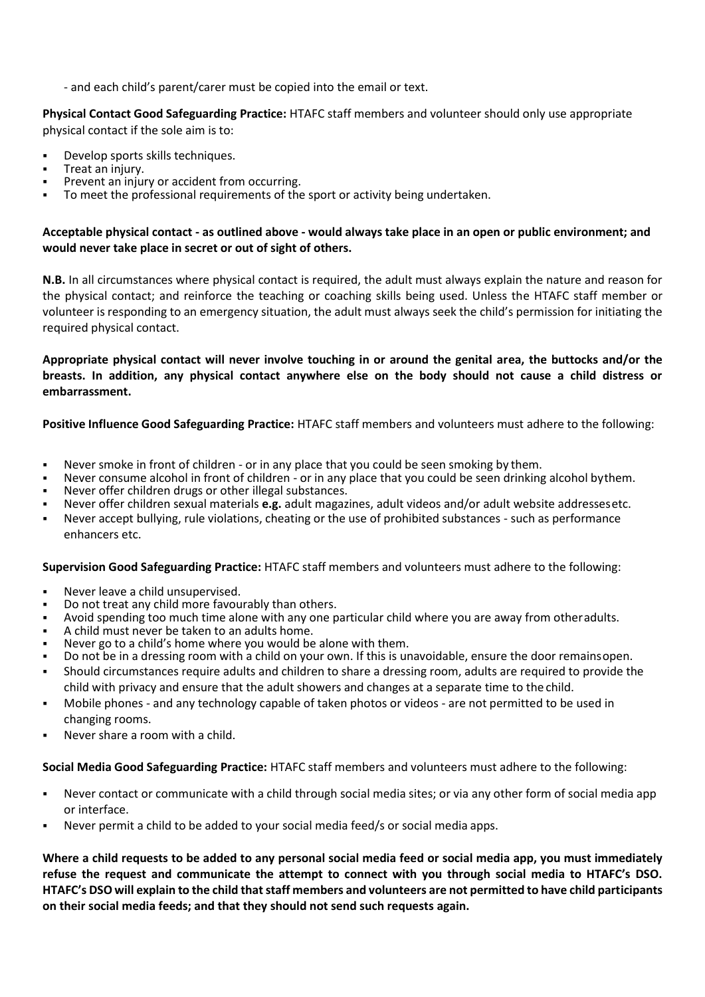- and each child's parent/carer must be copied into the email or text.

### **Physical Contact Good Safeguarding Practice:** HTAFC staff members and volunteer should only use appropriate physical contact if the sole aim is to:

- Develop sports skills techniques.
- Treat an injury.
- Prevent an injury or accident from occurring.
- To meet the professional requirements of the sport or activity being undertaken.

### **Acceptable physical contact - as outlined above - would always take place in an open or public environment; and would never take place in secret or out of sight of others.**

**N.B.** In all circumstances where physical contact is required, the adult must always explain the nature and reason for the physical contact; and reinforce the teaching or coaching skills being used. Unless the HTAFC staff member or volunteer is responding to an emergency situation, the adult must always seek the child's permission for initiating the required physical contact.

**Appropriate physical contact will never involve touching in or around the genital area, the buttocks and/or the breasts. In addition, any physical contact anywhere else on the body should not cause a child distress or embarrassment.**

**Positive Influence Good Safeguarding Practice:** HTAFC staff members and volunteers must adhere to the following:

- Never smoke in front of children or in any place that you could be seen smoking by them.
- Never consume alcohol in front of children or in any place that you could be seen drinking alcohol bythem.
- Never offer children drugs or other illegal substances.
- Never offer children sexual materials e.g. adult magazines, adult videos and/or adult website addressesetc.
- Never accept bullying, rule violations, cheating or the use of prohibited substances such as performance enhancers etc.

**Supervision Good Safeguarding Practice:** HTAFC staff members and volunteers must adhere to the following:

- Never leave a child unsupervised.
- Do not treat any child more favourably than others.
- Avoid spending too much time alone with any one particular child where you are away from otheradults.
- A child must never be taken to an adults home.
- Never go to a child's home where you would be alone with them.
- Do not be in a dressing room with a child on your own. If this is unavoidable, ensure the door remainsopen.
- Should circumstances require adults and children to share a dressing room, adults are required to provide the child with privacy and ensure that the adult showers and changes at a separate time to the child.
- Mobile phones and any technology capable of taken photos or videos are not permitted to be used in changing rooms.
- Never share a room with a child.

**Social Media Good Safeguarding Practice:** HTAFC staff members and volunteers must adhere to the following:

- Never contact or communicate with a child through social media sites; or via any other form of social media app or interface.
- Never permit a child to be added to your social media feed/s or social media apps.

**Where a child requests to be added to any personal social media feed or social media app, you must immediately refuse the request and communicate the attempt to connect with you through social media to HTAFC's DSO. HTAFC's DSO will explain to the child that staff members and volunteers are not permitted to have child participants on their social media feeds; and that they should not send such requests again.**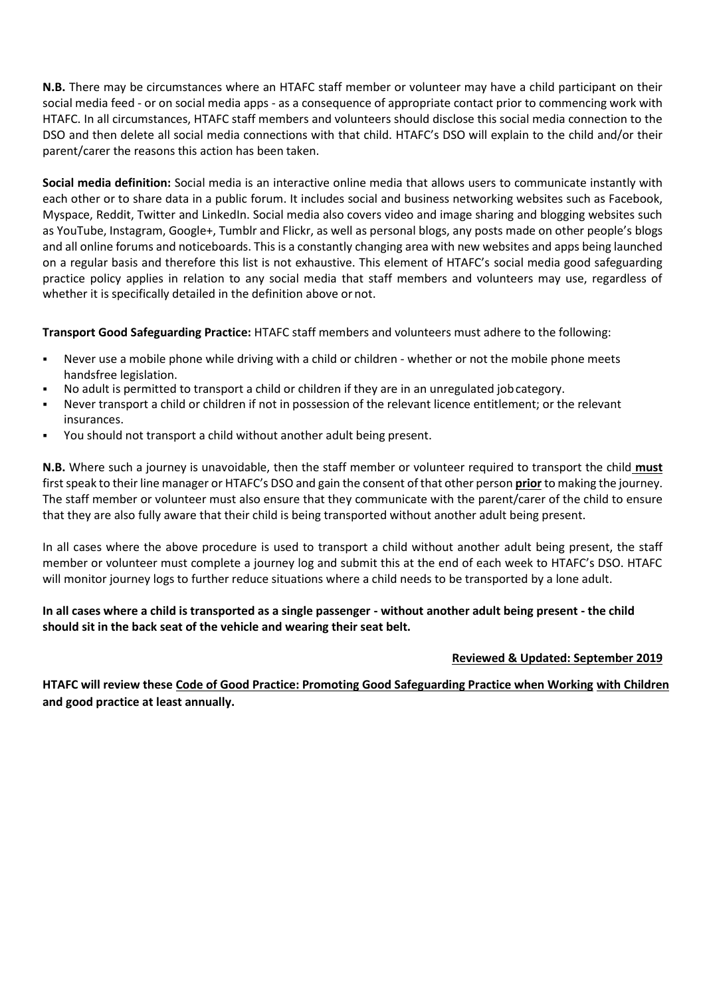**N.B.** There may be circumstances where an HTAFC staff member or volunteer may have a child participant on their social media feed - or on social media apps - as a consequence of appropriate contact prior to commencing work with HTAFC. In all circumstances, HTAFC staff members and volunteers should disclose this social media connection to the DSO and then delete all social media connections with that child. HTAFC's DSO will explain to the child and/or their parent/carer the reasons this action has been taken.

**Social media definition:** Social media is an interactive online media that allows users to communicate instantly with each other or to share data in a public forum. It includes social and business networking websites such as Facebook, Myspace, Reddit, Twitter and LinkedIn. Social media also covers video and image sharing and blogging websites such as YouTube, Instagram, Google+, Tumblr and Flickr, as well as personal blogs, any posts made on other people's blogs and all online forums and noticeboards. This is a constantly changing area with new websites and apps being launched on a regular basis and therefore this list is not exhaustive. This element of HTAFC's social media good safeguarding practice policy applies in relation to any social media that staff members and volunteers may use, regardless of whether it is specifically detailed in the definition above or not.

**Transport Good Safeguarding Practice:** HTAFC staff members and volunteers must adhere to the following:

- Never use a mobile phone while driving with a child or children whether or not the mobile phone meets handsfree legislation.
- No adult is permitted to transport a child or children if they are in an unregulated job category.
- Never transport a child or children if not in possession of the relevant licence entitlement; or the relevant insurances.
- You should not transport a child without another adult being present.

**N.B.** Where such a journey is unavoidable, then the staff member or volunteer required to transport the child **must** first speak to their line manager or HTAFC's DSO and gain the consent of that other person **prior** to making the journey. The staff member or volunteer must also ensure that they communicate with the parent/carer of the child to ensure that they are also fully aware that their child is being transported without another adult being present.

In all cases where the above procedure is used to transport a child without another adult being present, the staff member or volunteer must complete a journey log and submit this at the end of each week to HTAFC's DSO. HTAFC will monitor journey logs to further reduce situations where a child needs to be transported by a lone adult.

# **In all cases where a child is transported as a single passenger - without another adult being present - the child should sit in the back seat of the vehicle and wearing their seat belt.**

### **Reviewed & Updated: September 2019**

**HTAFC will review these Code of Good Practice: Promoting Good Safeguarding Practice when Working with Children and good practice at least annually.**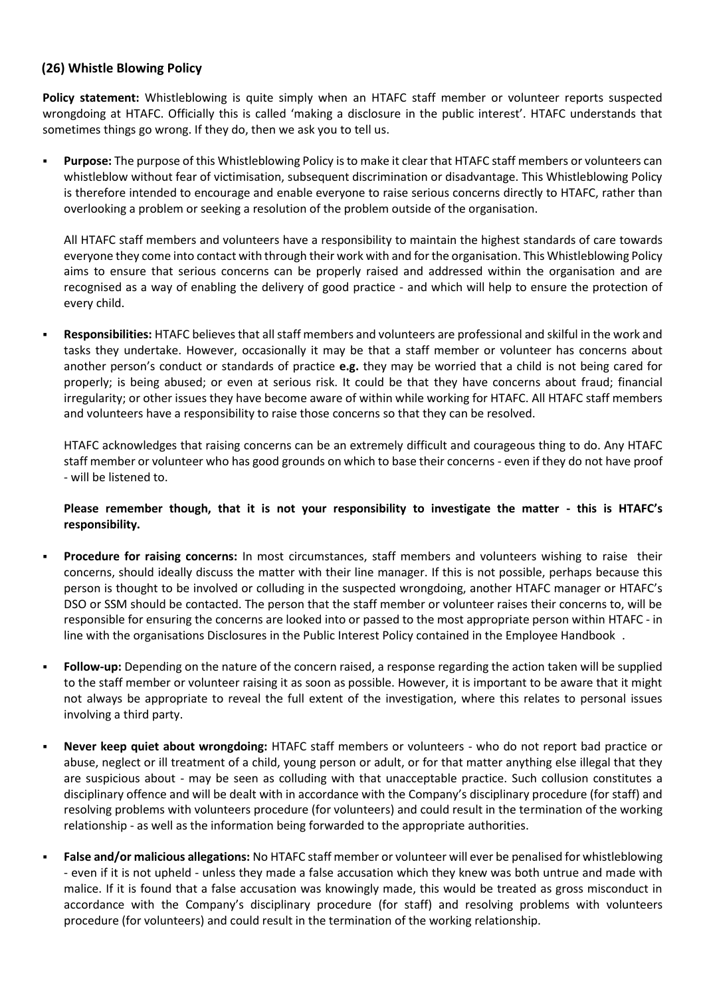# **(26) Whistle Blowing Policy**

**Policy statement:** Whistleblowing is quite simply when an HTAFC staff member or volunteer reports suspected wrongdoing at HTAFC. Officially this is called 'making a disclosure in the public interest'. HTAFC understands that sometimes things go wrong. If they do, then we ask you to tell us.

Purpose: The purpose of this Whistleblowing Policy is to make it clear that HTAFC staff members or volunteers can whistleblow without fear of victimisation, subsequent discrimination or disadvantage. This Whistleblowing Policy is therefore intended to encourage and enable everyone to raise serious concerns directly to HTAFC, rather than overlooking a problem or seeking a resolution of the problem outside of the organisation.

All HTAFC staff members and volunteers have a responsibility to maintain the highest standards of care towards everyone they come into contact with through their work with and for the organisation. This Whistleblowing Policy aims to ensure that serious concerns can be properly raised and addressed within the organisation and are recognised as a way of enabling the delivery of good practice - and which will help to ensure the protection of every child.

▪ **Responsibilities:** HTAFC believes that all staff members and volunteers are professional and skilful in the work and tasks they undertake. However, occasionally it may be that a staff member or volunteer has concerns about another person's conduct or standards of practice **e.g.** they may be worried that a child is not being cared for properly; is being abused; or even at serious risk. It could be that they have concerns about fraud; financial irregularity; or other issues they have become aware of within while working for HTAFC. All HTAFC staff members and volunteers have a responsibility to raise those concerns so that they can be resolved.

HTAFC acknowledges that raising concerns can be an extremely difficult and courageous thing to do. Any HTAFC staff member or volunteer who has good grounds on which to base their concerns - even if they do not have proof - will be listened to.

### **Please remember though, that it is not your responsibility to investigate the matter - this is HTAFC's responsibility.**

- **Procedure for raising concerns:** In most circumstances, staff members and volunteers wishing to raise their concerns, should ideally discuss the matter with their line manager. If this is not possible, perhaps because this person is thought to be involved or colluding in the suspected wrongdoing, another HTAFC manager or HTAFC's DSO or SSM should be contacted. The person that the staff member or volunteer raises their concerns to, will be responsible for ensuring the concerns are looked into or passed to the most appropriate person within HTAFC - in line with the organisations Disclosures in the Public Interest Policy contained in the Employee Handbook .
- **Follow-up:** Depending on the nature of the concern raised, a response regarding the action taken will be supplied to the staff member or volunteer raising it as soon as possible. However, it is important to be aware that it might not always be appropriate to reveal the full extent of the investigation, where this relates to personal issues involving a third party.
- **Never keep quiet about wrongdoing:** HTAFC staff members or volunteers who do not report bad practice or abuse, neglect or ill treatment of a child, young person or adult, or for that matter anything else illegal that they are suspicious about - may be seen as colluding with that unacceptable practice. Such collusion constitutes a disciplinary offence and will be dealt with in accordance with the Company's disciplinary procedure (for staff) and resolving problems with volunteers procedure (for volunteers) and could result in the termination of the working relationship - as well as the information being forwarded to the appropriate authorities.
- **False and/or malicious allegations:** No HTAFC staff member or volunteer will ever be penalised for whistleblowing - even if it is not upheld - unless they made a false accusation which they knew was both untrue and made with malice. If it is found that a false accusation was knowingly made, this would be treated as gross misconduct in accordance with the Company's disciplinary procedure (for staff) and resolving problems with volunteers procedure (for volunteers) and could result in the termination of the working relationship.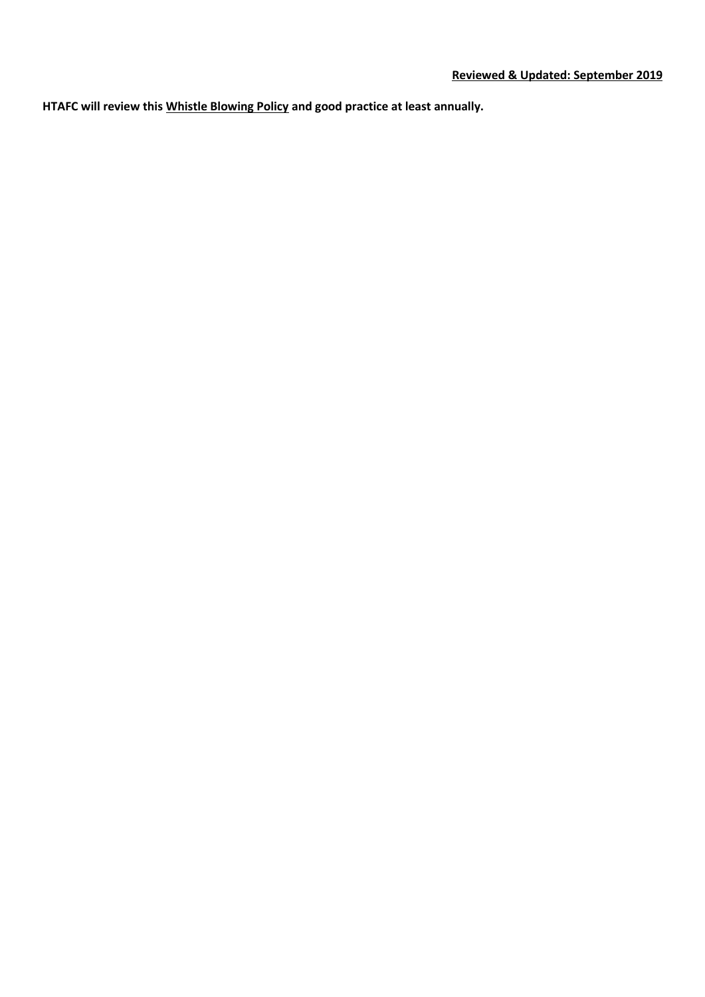**HTAFC will review this Whistle Blowing Policy and good practice at least annually.**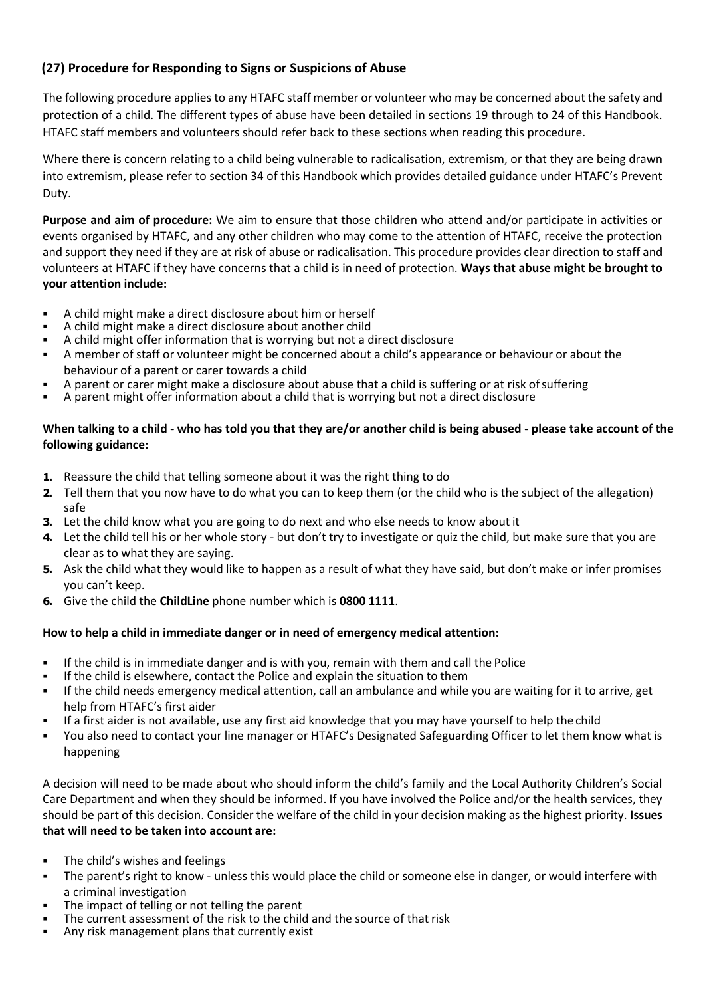# **(27) Procedure for Responding to Signs or Suspicions of Abuse**

The following procedure applies to any HTAFC staff member or volunteer who may be concerned about the safety and protection of a child. The different types of abuse have been detailed in sections 19 through to 24 of this Handbook. HTAFC staff members and volunteers should refer back to these sections when reading this procedure.

Where there is concern relating to a child being vulnerable to radicalisation, extremism, or that they are being drawn into extremism, please refer to section 34 of this Handbook which provides detailed guidance under HTAFC's Prevent Duty.

**Purpose and aim of procedure:** We aim to ensure that those children who attend and/or participate in activities or events organised by HTAFC, and any other children who may come to the attention of HTAFC, receive the protection and support they need if they are at risk of abuse or radicalisation. This procedure provides clear direction to staff and volunteers at HTAFC if they have concerns that a child is in need of protection. **Ways that abuse might be brought to your attention include:**

- A child might make a direct disclosure about him or herself
- A child might make a direct disclosure about another child
- A child might offer information that is worrying but not a direct disclosure
- A member of staff or volunteer might be concerned about a child's appearance or behaviour or about the behaviour of a parent or carer towards a child
- A parent or carer might make a disclosure about abuse that a child is suffering or at risk of suffering
- A parent might offer information about a child that is worrying but not a direct disclosure

### **When talking to a child - who has told you that they are/or another child is being abused - please take account of the following guidance:**

- **1.** Reassure the child that telling someone about it was the right thing to do
- **2.** Tell them that you now have to do what you can to keep them (or the child who is the subject of the allegation) safe
- **3.** Let the child know what you are going to do next and who else needs to know about it
- **4.** Let the child tell his or her whole story but don't try to investigate or quiz the child, but make sure that you are clear as to what they are saying.
- **5.** Ask the child what they would like to happen as a result of what they have said, but don't make or infer promises you can't keep.
- **6.** Give the child the **ChildLine** phone number which is **0800 1111**.

### **How to help a child in immediate danger or in need of emergency medical attention:**

- If the child is in immediate danger and is with you, remain with them and call the Police
- If the child is elsewhere, contact the Police and explain the situation to them
- If the child needs emergency medical attention, call an ambulance and while you are waiting for it to arrive, get help from HTAFC's first aider
- If a first aider is not available, use any first aid knowledge that you may have yourself to help the child
- You also need to contact your line manager or HTAFC's Designated Safeguarding Officer to let them know what is happening

A decision will need to be made about who should inform the child's family and the Local Authority Children's Social Care Department and when they should be informed. If you have involved the Police and/or the health services, they should be part of this decision. Consider the welfare of the child in your decision making as the highest priority. **Issues that will need to be taken into account are:**

- The child's wishes and feelings
- The parent's right to know unless this would place the child or someone else in danger, or would interfere with a criminal investigation
- The impact of telling or not telling the parent
- The current assessment of the risk to the child and the source of that risk
- Any risk management plans that currently exist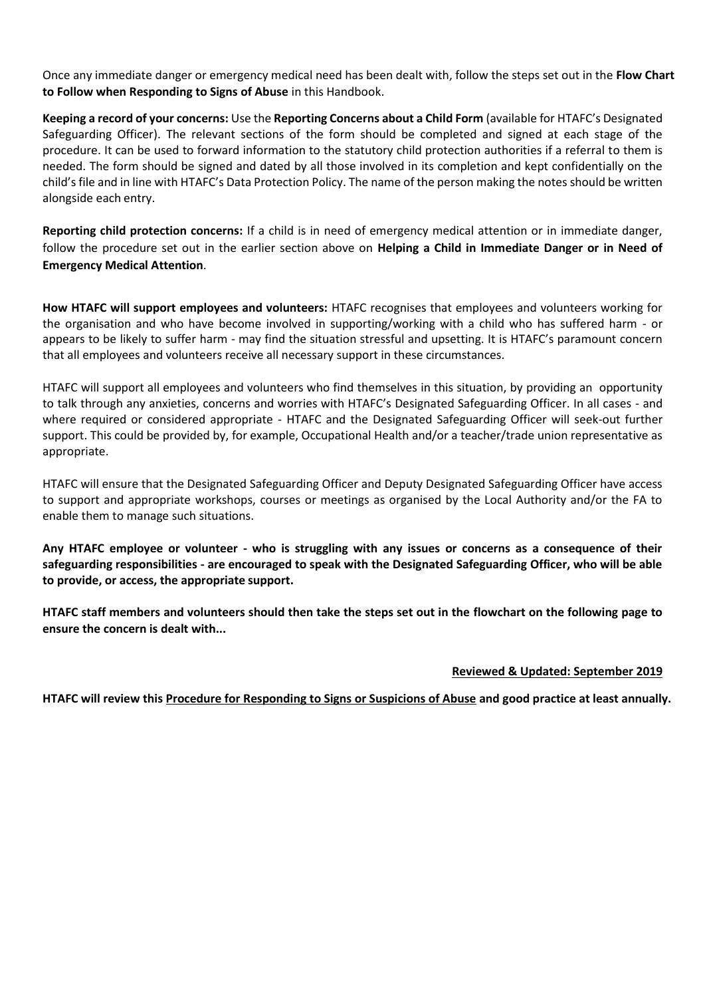Once any immediate danger or emergency medical need has been dealt with, follow the steps set out in the **Flow Chart to Follow when Responding to Signs of Abuse** in this Handbook.

**Keeping a record of your concerns:** Use the **Reporting Concerns about a Child Form** (available for HTAFC's Designated Safeguarding Officer). The relevant sections of the form should be completed and signed at each stage of the procedure. It can be used to forward information to the statutory child protection authorities if a referral to them is needed. The form should be signed and dated by all those involved in its completion and kept confidentially on the child's file and in line with HTAFC's Data Protection Policy. The name of the person making the notes should be written alongside each entry.

**Reporting child protection concerns:** If a child is in need of emergency medical attention or in immediate danger, follow the procedure set out in the earlier section above on **Helping a Child in Immediate Danger or in Need of Emergency Medical Attention**.

**How HTAFC will support employees and volunteers:** HTAFC recognises that employees and volunteers working for the organisation and who have become involved in supporting/working with a child who has suffered harm - or appears to be likely to suffer harm - may find the situation stressful and upsetting. It is HTAFC's paramount concern that all employees and volunteers receive all necessary support in these circumstances.

HTAFC will support all employees and volunteers who find themselves in this situation, by providing an opportunity to talk through any anxieties, concerns and worries with HTAFC's Designated Safeguarding Officer. In all cases - and where required or considered appropriate - HTAFC and the Designated Safeguarding Officer will seek-out further support. This could be provided by, for example, Occupational Health and/or a teacher/trade union representative as appropriate.

HTAFC will ensure that the Designated Safeguarding Officer and Deputy Designated Safeguarding Officer have access to support and appropriate workshops, courses or meetings as organised by the Local Authority and/or the FA to enable them to manage such situations.

**Any HTAFC employee or volunteer - who is struggling with any issues or concerns as a consequence of their safeguarding responsibilities - are encouraged to speak with the Designated Safeguarding Officer, who will be able to provide, or access, the appropriate support.**

**HTAFC staff members and volunteers should then take the steps set out in the flowchart on the following page to ensure the concern is dealt with...**

#### **Reviewed & Updated: September 2019**

**HTAFC will review this Procedure for Responding to Signs or Suspicions of Abuse and good practice at least annually.**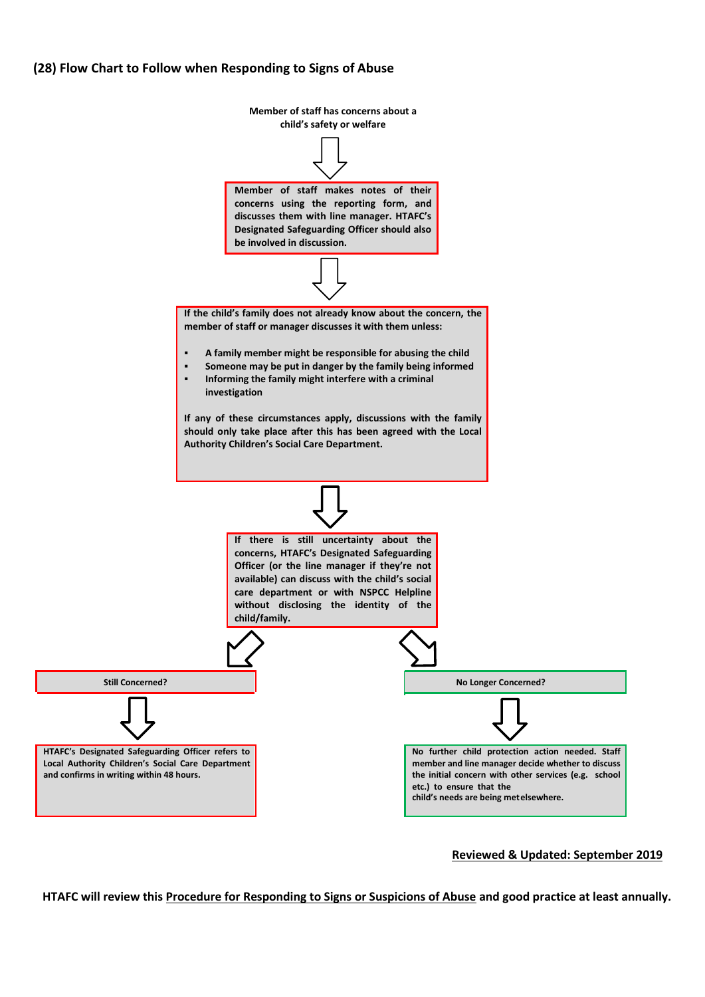#### **(28) Flow Chart to Follow when Responding to Signs of Abuse**



**Reviewed & Updated: September 2019**

**HTAFC will review this Procedure for Responding to Signs or Suspicions of Abuse and good practice at least annually.**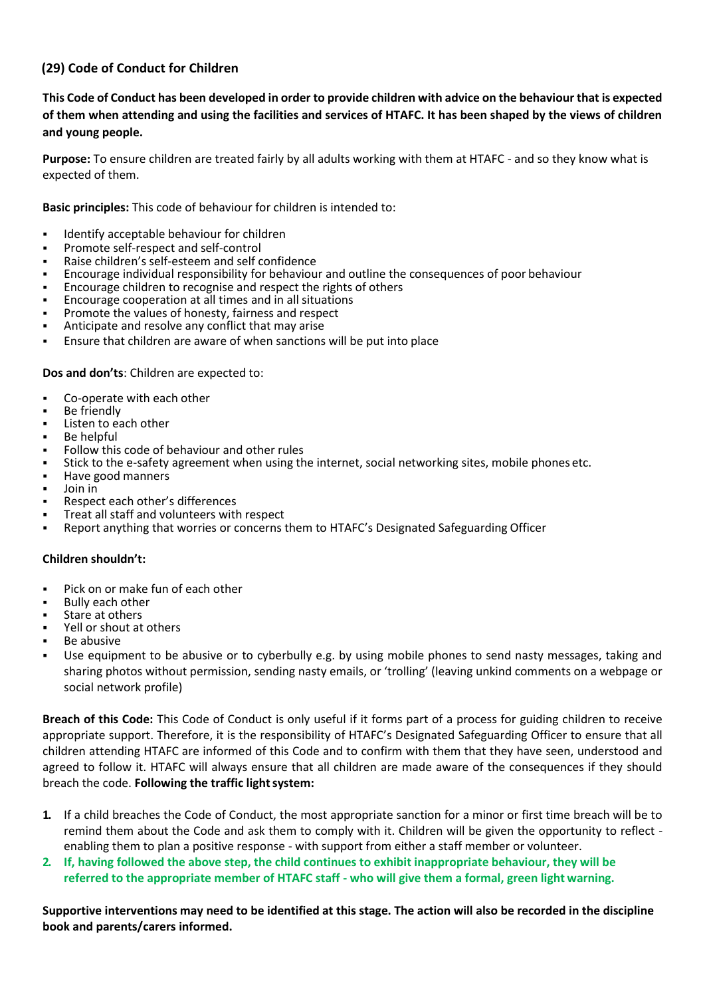# **(29) Code of Conduct for Children**

**This Code of Conduct has been developed in order to provide children with advice on the behaviour that is expected of them when attending and using the facilities and services of HTAFC. It has been shaped by the views of children and young people.**

**Purpose:** To ensure children are treated fairly by all adults working with them at HTAFC - and so they know what is expected of them.

**Basic principles:** This code of behaviour for children is intended to:

- Identify acceptable behaviour for children
- Promote self-respect and self-control
- Raise children's self-esteem and self confidence
- Encourage individual responsibility for behaviour and outline the consequences of poor behaviour
- Encourage children to recognise and respect the rights of others
- Encourage cooperation at all times and in all situations
- Promote the values of honesty, fairness and respect
- Anticipate and resolve any conflict that may arise
- Ensure that children are aware of when sanctions will be put into place

**Dos and don'ts**: Children are expected to:

- Co-operate with each other
- Be friendly
- Listen to each other
- Be helpful
- Follow this code of behaviour and other rules
- Stick to the e-safety agreement when using the internet, social networking sites, mobile phones etc.
- Have good manners
- Join in
- Respect each other's differences
- Treat all staff and volunteers with respect
- Report anything that worries or concerns them to HTAFC's Designated Safeguarding Officer

#### **Children shouldn't:**

- Pick on or make fun of each other
- **Bully each other**
- Stare at others
- Yell or shout at others
- Be abusive
- Use equipment to be abusive or to cyberbully e.g. by using mobile phones to send nasty messages, taking and sharing photos without permission, sending nasty emails, or 'trolling' (leaving unkind comments on a webpage or social network profile)

**Breach of this Code:** This Code of Conduct is only useful if it forms part of a process for guiding children to receive appropriate support. Therefore, it is the responsibility of HTAFC's Designated Safeguarding Officer to ensure that all children attending HTAFC are informed of this Code and to confirm with them that they have seen, understood and agreed to follow it. HTAFC will always ensure that all children are made aware of the consequences if they should breach the code. Following the traffic light system:

- **1.** If a child breaches the Code of Conduct, the most appropriate sanction for a minor or first time breach will be to remind them about the Code and ask them to comply with it. Children will be given the opportunity to reflect enabling them to plan a positive response - with support from either a staff member or volunteer.
- **2. If, having followed the above step, the child continues to exhibit inappropriate behaviour, they will be referred to the appropriate member of HTAFC staff - who will give them a formal, green light warning.**

**Supportive interventions may need to be identified at this stage. The action will also be recorded in the discipline book and parents/carers informed.**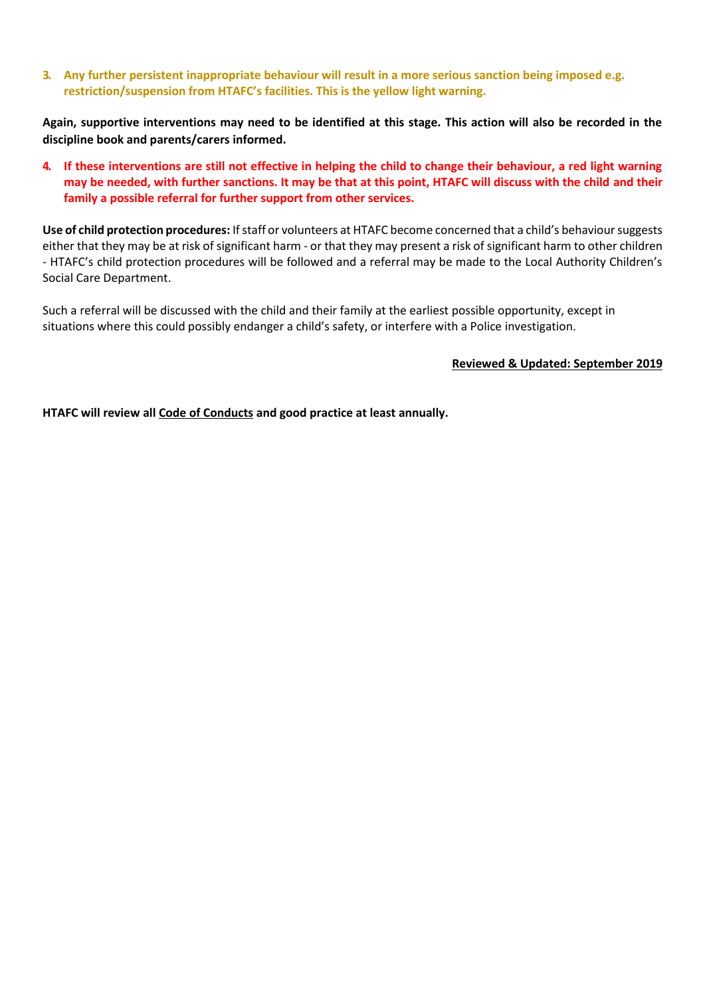**3. Any further persistent inappropriate behaviour will result in a more serious sanction being imposed e.g. restriction/suspension from HTAFC's facilities. This is the yellow light warning.**

**Again, supportive interventions may need to be identified at this stage. This action will also be recorded in the discipline book and parents/carers informed.**

**4. If these interventions are still not effective in helping the child to change their behaviour, a red light warning may be needed, with further sanctions. It may be that at this point, HTAFC will discuss with the child and their family a possible referral for further support from other services.**

**Use of child protection procedures:** If staff or volunteers at HTAFC become concerned that a child's behaviour suggests either that they may be at risk of significant harm - or that they may present a risk of significant harm to other children - HTAFC's child protection procedures will be followed and a referral may be made to the Local Authority Children's Social Care Department.

Such a referral will be discussed with the child and their family at the earliest possible opportunity, except in situations where this could possibly endanger a child's safety, or interfere with a Police investigation.

**Reviewed & Updated: September 2019**

**HTAFC will review all Code of Conducts and good practice at least annually.**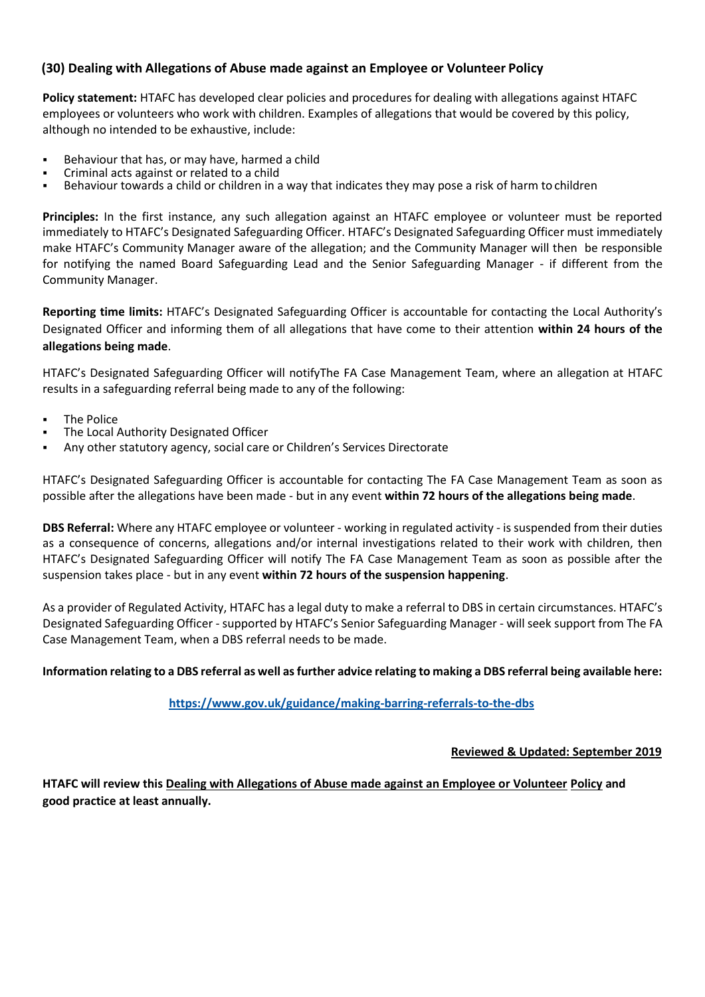# **(30) Dealing with Allegations of Abuse made against an Employee or Volunteer Policy**

**Policy statement:** HTAFC has developed clear policies and procedures for dealing with allegations against HTAFC employees or volunteers who work with children. Examples of allegations that would be covered by this policy, although no intended to be exhaustive, include:

- Behaviour that has, or may have, harmed a child
- Criminal acts against or related to a child
- Behaviour towards a child or children in a way that indicates they may pose a risk of harm to children

**Principles:** In the first instance, any such allegation against an HTAFC employee or volunteer must be reported immediately to HTAFC's Designated Safeguarding Officer. HTAFC's Designated Safeguarding Officer must immediately make HTAFC's Community Manager aware of the allegation; and the Community Manager will then be responsible for notifying the named Board Safeguarding Lead and the Senior Safeguarding Manager - if different from the Community Manager.

**Reporting time limits:** HTAFC's Designated Safeguarding Officer is accountable for contacting the Local Authority's Designated Officer and informing them of all allegations that have come to their attention **within 24 hours of the allegations being made**.

HTAFC's Designated Safeguarding Officer will notifyThe FA Case Management Team, where an allegation at HTAFC results in a safeguarding referral being made to any of the following:

- The Police
- The Local Authority Designated Officer
- Any other statutory agency, social care or Children's Services Directorate

HTAFC's Designated Safeguarding Officer is accountable for contacting The FA Case Management Team as soon as possible after the allegations have been made - but in any event **within 72 hours of the allegations being made**.

**DBS Referral:** Where any HTAFC employee or volunteer - working in regulated activity - is suspended from their duties as a consequence of concerns, allegations and/or internal investigations related to their work with children, then HTAFC's Designated Safeguarding Officer will notify The FA Case Management Team as soon as possible after the suspension takes place - but in any event **within 72 hours of the suspension happening**.

As a provider of Regulated Activity, HTAFC has a legal duty to make a referral to DBS in certain circumstances. HTAFC's Designated Safeguarding Officer - supported by HTAFC's Senior Safeguarding Manager - will seek support from The FA Case Management Team, when a DBS referral needs to be made.

#### **Information relating to a DBS referral as well as further advice relating to making a DBS referral being available here:**

### **<https://www.gov.uk/guidance/making-barring-referrals-to-the-dbs>**

#### **Reviewed & Updated: September 2019**

**HTAFC will review this Dealing with Allegations of Abuse made against an Employee or Volunteer Policy and good practice at least annually.**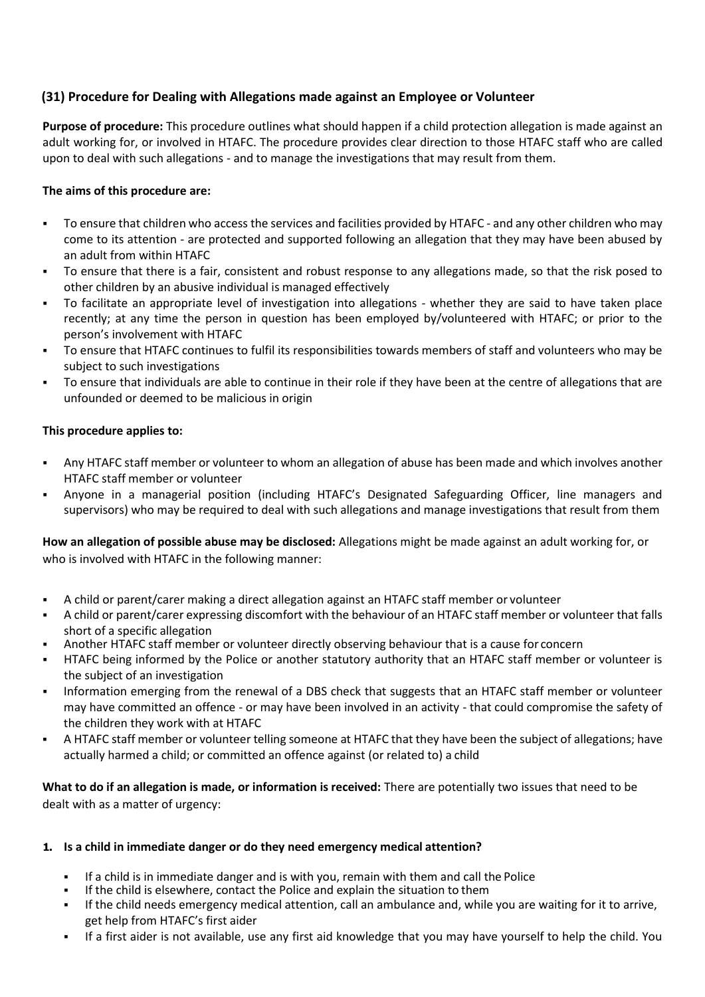# **(31) Procedure for Dealing with Allegations made against an Employee or Volunteer**

**Purpose of procedure:** This procedure outlines what should happen if a child protection allegation is made against an adult working for, or involved in HTAFC. The procedure provides clear direction to those HTAFC staff who are called upon to deal with such allegations - and to manage the investigations that may result from them.

### **The aims of this procedure are:**

- To ensure that children who access the services and facilities provided by HTAFC and any other children who may come to its attention - are protected and supported following an allegation that they may have been abused by an adult from within HTAFC
- To ensure that there is a fair, consistent and robust response to any allegations made, so that the risk posed to other children by an abusive individual is managed effectively
- To facilitate an appropriate level of investigation into allegations whether they are said to have taken place recently; at any time the person in question has been employed by/volunteered with HTAFC; or prior to the person's involvement with HTAFC
- To ensure that HTAFC continues to fulfil its responsibilities towards members of staff and volunteers who may be subject to such investigations
- To ensure that individuals are able to continue in their role if they have been at the centre of allegations that are unfounded or deemed to be malicious in origin

### **This procedure applies to:**

- Any HTAFC staff member or volunteer to whom an allegation of abuse has been made and which involves another HTAFC staff member or volunteer
- Anyone in a managerial position (including HTAFC's Designated Safeguarding Officer, line managers and supervisors) who may be required to deal with such allegations and manage investigations that result from them

**How an allegation of possible abuse may be disclosed:** Allegations might be made against an adult working for, or who is involved with HTAFC in the following manner:

- A child or parent/carer making a direct allegation against an HTAFC staff member or volunteer
- A child or parent/carer expressing discomfort with the behaviour of an HTAFC staff member or volunteer that falls short of a specific allegation
- Another HTAFC staff member or volunteer directly observing behaviour that is a cause for concern
- HTAFC being informed by the Police or another statutory authority that an HTAFC staff member or volunteer is the subject of an investigation
- Information emerging from the renewal of a DBS check that suggests that an HTAFC staff member or volunteer may have committed an offence - or may have been involved in an activity - that could compromise the safety of the children they work with at HTAFC
- A HTAFC staff member or volunteer telling someone at HTAFC that they have been the subject of allegations; have actually harmed a child; or committed an offence against (or related to) a child

**What to do if an allegation is made, or information is received:** There are potentially two issues that need to be dealt with as a matter of urgency:

### **1. Is a child in immediate danger or do they need emergency medical attention?**

- If a child is in immediate danger and is with you, remain with them and call the Police
- If the child is elsewhere, contact the Police and explain the situation to them
- If the child needs emergency medical attention, call an ambulance and, while you are waiting for it to arrive, get help from HTAFC's first aider
- If a first aider is not available, use any first aid knowledge that you may have yourself to help the child. You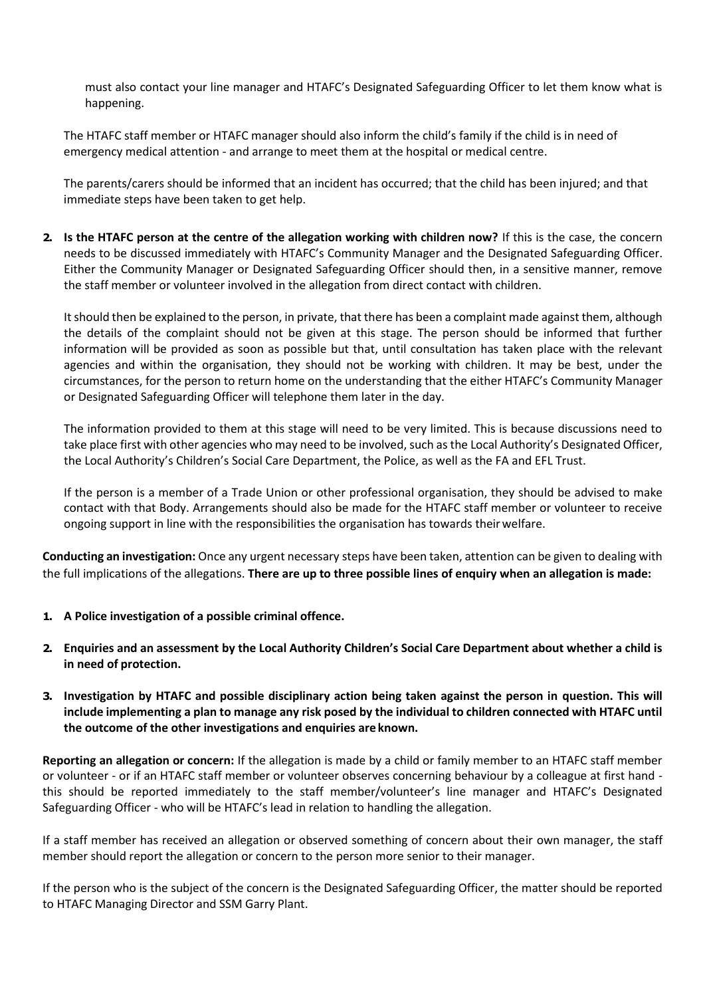must also contact your line manager and HTAFC's Designated Safeguarding Officer to let them know what is happening.

The HTAFC staff member or HTAFC manager should also inform the child's family if the child is in need of emergency medical attention - and arrange to meet them at the hospital or medical centre.

The parents/carers should be informed that an incident has occurred; that the child has been injured; and that immediate steps have been taken to get help.

**2. Is the HTAFC person at the centre of the allegation working with children now?** If this is the case, the concern needs to be discussed immediately with HTAFC's Community Manager and the Designated Safeguarding Officer. Either the Community Manager or Designated Safeguarding Officer should then, in a sensitive manner, remove the staff member or volunteer involved in the allegation from direct contact with children.

It should then be explained to the person, in private, that there has been a complaint made against them, although the details of the complaint should not be given at this stage. The person should be informed that further information will be provided as soon as possible but that, until consultation has taken place with the relevant agencies and within the organisation, they should not be working with children. It may be best, under the circumstances, for the person to return home on the understanding that the either HTAFC's Community Manager or Designated Safeguarding Officer will telephone them later in the day.

The information provided to them at this stage will need to be very limited. This is because discussions need to take place first with other agencies who may need to be involved, such as the Local Authority's Designated Officer, the Local Authority's Children's Social Care Department, the Police, as well as the FA and EFL Trust.

If the person is a member of a Trade Union or other professional organisation, they should be advised to make contact with that Body. Arrangements should also be made for the HTAFC staff member or volunteer to receive ongoing support in line with the responsibilities the organisation has towards theirwelfare.

**Conducting an investigation:** Once any urgent necessary steps have been taken, attention can be given to dealing with the full implications of the allegations. **There are up to three possible lines of enquiry when an allegation is made:**

- **1. A Police investigation of a possible criminal offence.**
- **2. Enquiries and an assessment by the Local Authority Children's Social Care Department about whether a child is in need of protection.**
- **3. Investigation by HTAFC and possible disciplinary action being taken against the person in question. This will include implementing a plan to manage any risk posed by the individual to children connected with HTAFC until the outcome of the other investigations and enquiries are known.**

**Reporting an allegation or concern:** If the allegation is made by a child or family member to an HTAFC staff member or volunteer - or if an HTAFC staff member or volunteer observes concerning behaviour by a colleague at first hand this should be reported immediately to the staff member/volunteer's line manager and HTAFC's Designated Safeguarding Officer - who will be HTAFC's lead in relation to handling the allegation.

If a staff member has received an allegation or observed something of concern about their own manager, the staff member should report the allegation or concern to the person more senior to their manager.

If the person who is the subject of the concern is the Designated Safeguarding Officer, the matter should be reported to HTAFC Managing Director and SSM Garry Plant.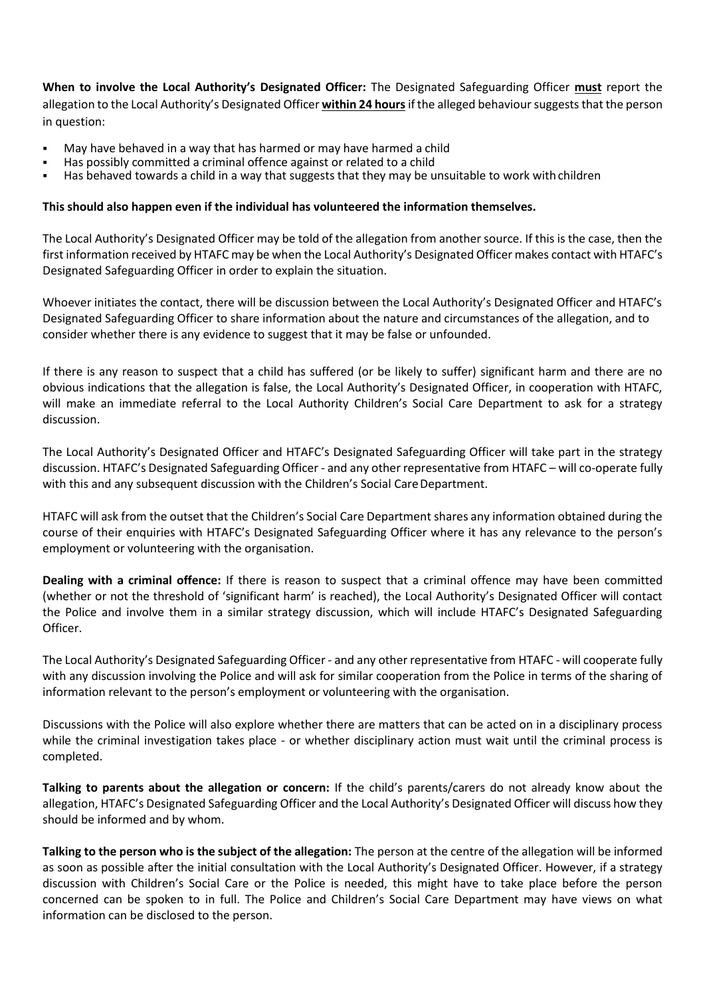**When to involve the Local Authority's Designated Officer:** The Designated Safeguarding Officer **must** report the allegation to the Local Authority's Designated Officer **within 24 hours**if the alleged behaviour suggests that the person in question:

- May have behaved in a way that has harmed or may have harmed a child
- Has possibly committed a criminal offence against or related to a child
- Has behaved towards a child in a way that suggests that they may be unsuitable to work with children

### **This should also happen even if the individual has volunteered the information themselves.**

The Local Authority's Designated Officer may be told of the allegation from another source. If this is the case, then the first information received by HTAFC may be when the Local Authority's Designated Officer makes contact with HTAFC's Designated Safeguarding Officer in order to explain the situation.

Whoever initiates the contact, there will be discussion between the Local Authority's Designated Officer and HTAFC's Designated Safeguarding Officer to share information about the nature and circumstances of the allegation, and to consider whether there is any evidence to suggest that it may be false or unfounded.

If there is any reason to suspect that a child has suffered (or be likely to suffer) significant harm and there are no obvious indications that the allegation is false, the Local Authority's Designated Officer, in cooperation with HTAFC, will make an immediate referral to the Local Authority Children's Social Care Department to ask for a strategy discussion.

The Local Authority's Designated Officer and HTAFC's Designated Safeguarding Officer will take part in the strategy discussion. HTAFC's Designated Safeguarding Officer - and any other representative from HTAFC – will co-operate fully with this and any subsequent discussion with the Children's Social Care Department.

HTAFC will ask from the outset that the Children's Social Care Department shares any information obtained during the course of their enquiries with HTAFC's Designated Safeguarding Officer where it has any relevance to the person's employment or volunteering with the organisation.

**Dealing with a criminal offence:** If there is reason to suspect that a criminal offence may have been committed (whether or not the threshold of 'significant harm' is reached), the Local Authority's Designated Officer will contact the Police and involve them in a similar strategy discussion, which will include HTAFC's Designated Safeguarding Officer.

The Local Authority's Designated Safeguarding Officer - and any other representative from HTAFC - will cooperate fully with any discussion involving the Police and will ask for similar cooperation from the Police in terms of the sharing of information relevant to the person's employment or volunteering with the organisation.

Discussions with the Police will also explore whether there are matters that can be acted on in a disciplinary process while the criminal investigation takes place - or whether disciplinary action must wait until the criminal process is completed.

**Talking to parents about the allegation or concern:** If the child's parents/carers do not already know about the allegation, HTAFC's Designated Safeguarding Officer and the Local Authority's Designated Officer will discuss how they should be informed and by whom.

**Talking to the person who is the subject of the allegation:** The person at the centre of the allegation will be informed as soon as possible after the initial consultation with the Local Authority's Designated Officer. However, if a strategy discussion with Children's Social Care or the Police is needed, this might have to take place before the person concerned can be spoken to in full. The Police and Children's Social Care Department may have views on what information can be disclosed to the person.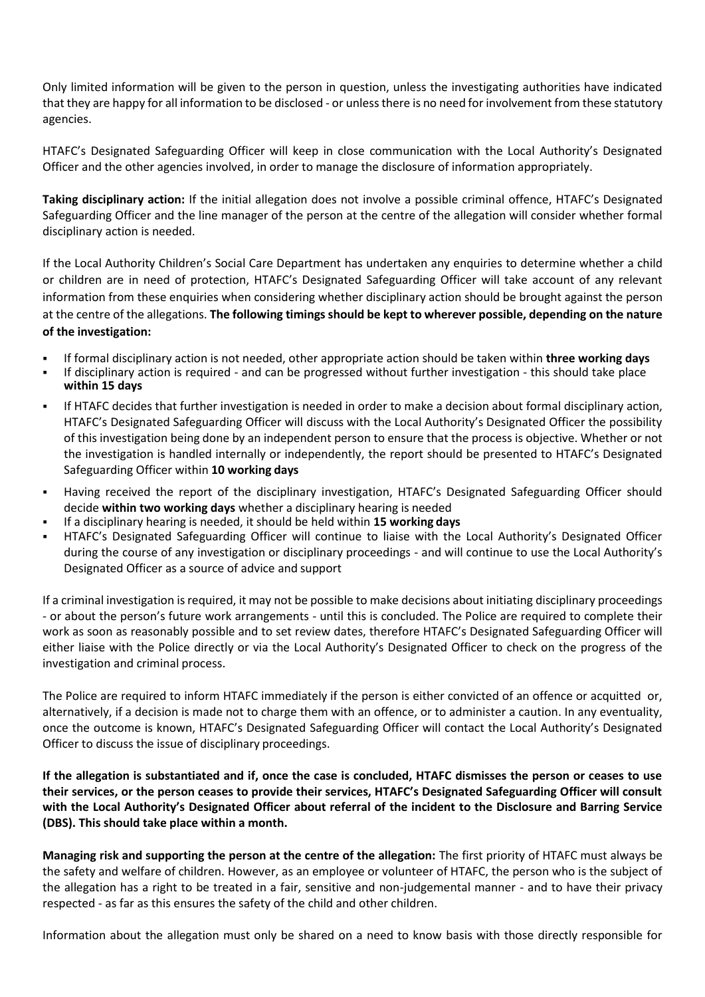Only limited information will be given to the person in question, unless the investigating authorities have indicated that they are happy for all information to be disclosed - or unless there is no need for involvement from these statutory agencies.

HTAFC's Designated Safeguarding Officer will keep in close communication with the Local Authority's Designated Officer and the other agencies involved, in order to manage the disclosure of information appropriately.

**Taking disciplinary action:** If the initial allegation does not involve a possible criminal offence, HTAFC's Designated Safeguarding Officer and the line manager of the person at the centre of the allegation will consider whether formal disciplinary action is needed.

If the Local Authority Children's Social Care Department has undertaken any enquiries to determine whether a child or children are in need of protection, HTAFC's Designated Safeguarding Officer will take account of any relevant information from these enquiries when considering whether disciplinary action should be brought against the person at the centre of the allegations. **The following timings should be kept to wherever possible, depending on the nature of the investigation:**

- If formal disciplinary action is not needed, other appropriate action should be taken within **three working days**
- If disciplinary action is required and can be progressed without further investigation this should take place **within 15 days**
- If HTAFC decides that further investigation is needed in order to make a decision about formal disciplinary action, HTAFC's Designated Safeguarding Officer will discuss with the Local Authority's Designated Officer the possibility of this investigation being done by an independent person to ensure that the process is objective. Whether or not the investigation is handled internally or independently, the report should be presented to HTAFC's Designated Safeguarding Officer within **10 working days**
- Having received the report of the disciplinary investigation, HTAFC's Designated Safeguarding Officer should decide **within two working days** whether a disciplinary hearing is needed
- If a disciplinary hearing is needed, it should be held within **15 working days**
- HTAFC's Designated Safeguarding Officer will continue to liaise with the Local Authority's Designated Officer during the course of any investigation or disciplinary proceedings - and will continue to use the Local Authority's Designated Officer as a source of advice and support

If a criminal investigation is required, it may not be possible to make decisions about initiating disciplinary proceedings - or about the person's future work arrangements - until this is concluded. The Police are required to complete their work as soon as reasonably possible and to set review dates, therefore HTAFC's Designated Safeguarding Officer will either liaise with the Police directly or via the Local Authority's Designated Officer to check on the progress of the investigation and criminal process.

The Police are required to inform HTAFC immediately if the person is either convicted of an offence or acquitted or, alternatively, if a decision is made not to charge them with an offence, or to administer a caution. In any eventuality, once the outcome is known, HTAFC's Designated Safeguarding Officer will contact the Local Authority's Designated Officer to discuss the issue of disciplinary proceedings.

**If the allegation is substantiated and if, once the case is concluded, HTAFC dismisses the person or ceases to use their services, or the person ceases to provide their services, HTAFC's Designated Safeguarding Officer will consult with the Local Authority's Designated Officer about referral of the incident to the Disclosure and Barring Service (DBS). This should take place within a month.**

**Managing risk and supporting the person at the centre of the allegation:** The first priority of HTAFC must always be the safety and welfare of children. However, as an employee or volunteer of HTAFC, the person who is the subject of the allegation has a right to be treated in a fair, sensitive and non-judgemental manner - and to have their privacy respected - as far as this ensures the safety of the child and other children.

Information about the allegation must only be shared on a need to know basis with those directly responsible for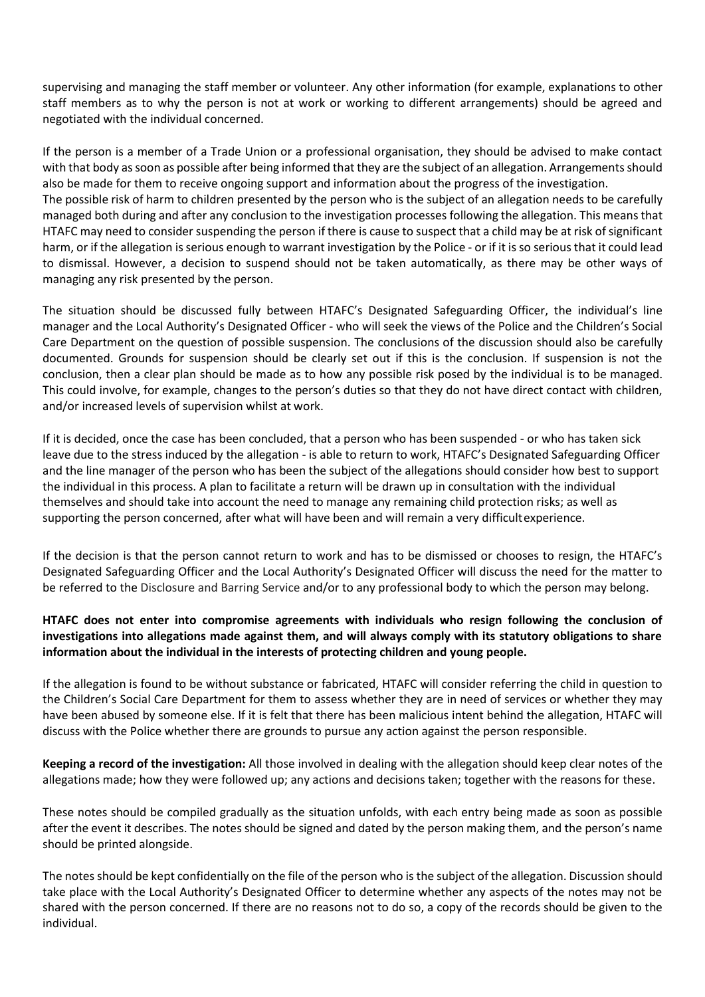supervising and managing the staff member or volunteer. Any other information (for example, explanations to other staff members as to why the person is not at work or working to different arrangements) should be agreed and negotiated with the individual concerned.

If the person is a member of a Trade Union or a professional organisation, they should be advised to make contact with that body as soon as possible after being informed that they are the subject of an allegation. Arrangements should also be made for them to receive ongoing support and information about the progress of the investigation. The possible risk of harm to children presented by the person who is the subject of an allegation needs to be carefully managed both during and after any conclusion to the investigation processes following the allegation. This means that HTAFC may need to consider suspending the person if there is cause to suspect that a child may be at risk of significant harm, or if the allegation is serious enough to warrant investigation by the Police - or if it is so serious that it could lead to dismissal. However, a decision to suspend should not be taken automatically, as there may be other ways of managing any risk presented by the person.

The situation should be discussed fully between HTAFC's Designated Safeguarding Officer, the individual's line manager and the Local Authority's Designated Officer - who will seek the views of the Police and the Children's Social Care Department on the question of possible suspension. The conclusions of the discussion should also be carefully documented. Grounds for suspension should be clearly set out if this is the conclusion. If suspension is not the conclusion, then a clear plan should be made as to how any possible risk posed by the individual is to be managed. This could involve, for example, changes to the person's duties so that they do not have direct contact with children, and/or increased levels of supervision whilst at work.

If it is decided, once the case has been concluded, that a person who has been suspended - or who has taken sick leave due to the stress induced by the allegation - is able to return to work, HTAFC's Designated Safeguarding Officer and the line manager of the person who has been the subject of the allegations should consider how best to support the individual in this process. A plan to facilitate a return will be drawn up in consultation with the individual themselves and should take into account the need to manage any remaining child protection risks; as well as supporting the person concerned, after what will have been and will remain a very difficultexperience.

If the decision is that the person cannot return to work and has to be dismissed or chooses to resign, the HTAFC's Designated Safeguarding Officer and the Local Authority's Designated Officer will discuss the need for the matter to be referred to the Disclosure and Barring Service and/or to any professional body to which the person may belong.

### **HTAFC does not enter into compromise agreements with individuals who resign following the conclusion of investigations into allegations made against them, and will always comply with its statutory obligations to share information about the individual in the interests of protecting children and young people.**

If the allegation is found to be without substance or fabricated, HTAFC will consider referring the child in question to the Children's Social Care Department for them to assess whether they are in need of services or whether they may have been abused by someone else. If it is felt that there has been malicious intent behind the allegation, HTAFC will discuss with the Police whether there are grounds to pursue any action against the person responsible.

**Keeping a record of the investigation:** All those involved in dealing with the allegation should keep clear notes of the allegations made; how they were followed up; any actions and decisions taken; together with the reasons for these.

These notes should be compiled gradually as the situation unfolds, with each entry being made as soon as possible after the event it describes. The notes should be signed and dated by the person making them, and the person's name should be printed alongside.

The notes should be kept confidentially on the file of the person who is the subject of the allegation. Discussion should take place with the Local Authority's Designated Officer to determine whether any aspects of the notes may not be shared with the person concerned. If there are no reasons not to do so, a copy of the records should be given to the individual.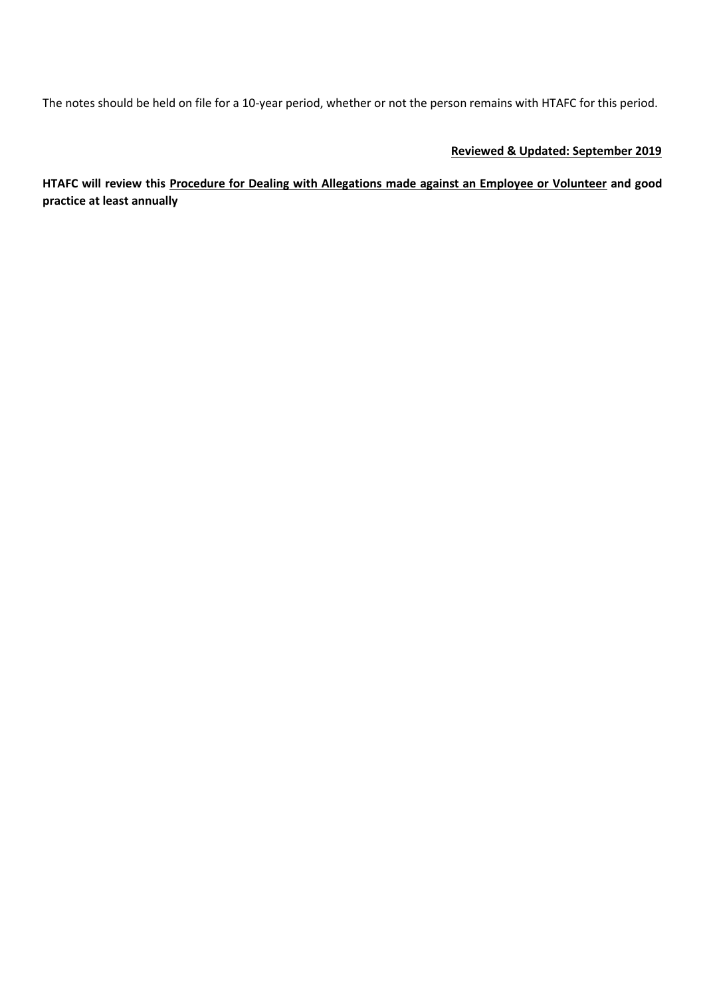The notes should be held on file for a 10-year period, whether or not the person remains with HTAFC for this period.

### **Reviewed & Updated: September 2019**

**HTAFC will review this Procedure for Dealing with Allegations made against an Employee or Volunteer and good practice at least annually**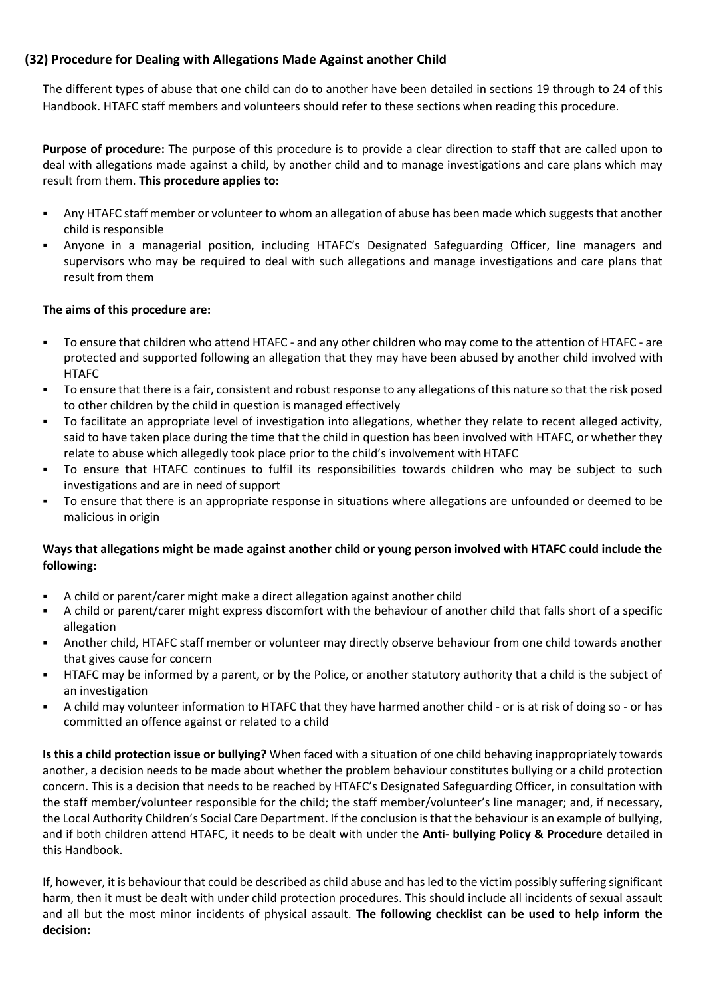# **(32) Procedure for Dealing with Allegations Made Against another Child**

The different types of abuse that one child can do to another have been detailed in sections 19 through to 24 of this Handbook. HTAFC staff members and volunteers should refer to these sections when reading this procedure.

**Purpose of procedure:** The purpose of this procedure is to provide a clear direction to staff that are called upon to deal with allegations made against a child, by another child and to manage investigations and care plans which may result from them. **This procedure applies to:**

- Any HTAFC staff member or volunteer to whom an allegation of abuse has been made which suggests that another child is responsible
- Anyone in a managerial position, including HTAFC's Designated Safeguarding Officer, line managers and supervisors who may be required to deal with such allegations and manage investigations and care plans that result from them

# **The aims of this procedure are:**

- To ensure that children who attend HTAFC and any other children who may come to the attention of HTAFC are protected and supported following an allegation that they may have been abused by another child involved with HTAFC
- To ensure that there is a fair, consistent and robust response to any allegations of this nature so that the risk posed to other children by the child in question is managed effectively
- To facilitate an appropriate level of investigation into allegations, whether they relate to recent alleged activity, said to have taken place during the time that the child in question has been involved with HTAFC, or whether they relate to abuse which allegedly took place prior to the child's involvement with HTAFC
- To ensure that HTAFC continues to fulfil its responsibilities towards children who may be subject to such investigations and are in need of support
- To ensure that there is an appropriate response in situations where allegations are unfounded or deemed to be malicious in origin

### **Ways that allegations might be made against another child or young person involved with HTAFC could include the following:**

- A child or parent/carer might make a direct allegation against another child
- A child or parent/carer might express discomfort with the behaviour of another child that falls short of a specific allegation
- Another child, HTAFC staff member or volunteer may directly observe behaviour from one child towards another that gives cause for concern
- HTAFC may be informed by a parent, or by the Police, or another statutory authority that a child is the subject of an investigation
- A child may volunteer information to HTAFC that they have harmed another child or is at risk of doing so or has committed an offence against or related to a child

**Is this a child protection issue or bullying?** When faced with a situation of one child behaving inappropriately towards another, a decision needs to be made about whether the problem behaviour constitutes bullying or a child protection concern. This is a decision that needs to be reached by HTAFC's Designated Safeguarding Officer, in consultation with the staff member/volunteer responsible for the child; the staff member/volunteer's line manager; and, if necessary, the Local Authority Children's Social Care Department. If the conclusion is that the behaviour is an example of bullying, and if both children attend HTAFC, it needs to be dealt with under the **Anti- bullying Policy & Procedure** detailed in this Handbook.

If, however, it is behaviour that could be described as child abuse and has led to the victim possibly suffering significant harm, then it must be dealt with under child protection procedures. This should include all incidents of sexual assault and all but the most minor incidents of physical assault. **The following checklist can be used to help inform the decision:**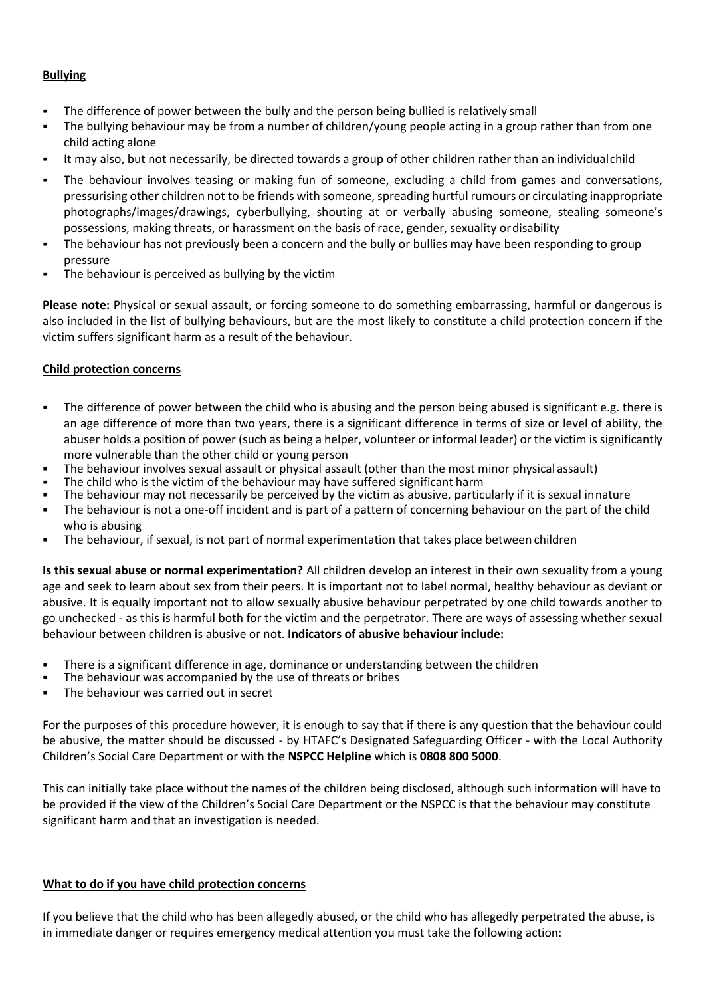### **Bullying**

- The difference of power between the bully and the person being bullied is relatively small
- The bullying behaviour may be from a number of children/young people acting in a group rather than from one child acting alone
- It may also, but not necessarily, be directed towards a group of other children rather than an individualchild
- The behaviour involves teasing or making fun of someone, excluding a child from games and conversations, pressurising other children not to be friends with someone, spreading hurtful rumours or circulating inappropriate photographs/images/drawings, cyberbullying, shouting at or verbally abusing someone, stealing someone's possessions, making threats, or harassment on the basis of race, gender, sexuality ordisability
- The behaviour has not previously been a concern and the bully or bullies may have been responding to group pressure
- The behaviour is perceived as bullying by the victim

**Please note:** Physical or sexual assault, or forcing someone to do something embarrassing, harmful or dangerous is also included in the list of bullying behaviours, but are the most likely to constitute a child protection concern if the victim suffers significant harm as a result of the behaviour.

### **Child protection concerns**

- The difference of power between the child who is abusing and the person being abused is significant e.g. there is an age difference of more than two years, there is a significant difference in terms of size or level of ability, the abuser holds a position of power (such as being a helper, volunteer or informal leader) or the victim is significantly more vulnerable than the other child or young person
- The behaviour involves sexual assault or physical assault (other than the most minor physical assault)
- The child who is the victim of the behaviour may have suffered significant harm
- The behaviour may not necessarily be perceived by the victim as abusive, particularly if it is sexual innature
- The behaviour is not a one-off incident and is part of a pattern of concerning behaviour on the part of the child who is abusing
- The behaviour, if sexual, is not part of normal experimentation that takes place between children

**Is this sexual abuse or normal experimentation?** All children develop an interest in their own sexuality from a young age and seek to learn about sex from their peers. It is important not to label normal, healthy behaviour as deviant or abusive. It is equally important not to allow sexually abusive behaviour perpetrated by one child towards another to go unchecked - as this is harmful both for the victim and the perpetrator. There are ways of assessing whether sexual behaviour between children is abusive or not. **Indicators of abusive behaviour include:**

- There is a significant difference in age, dominance or understanding between the children
- The behaviour was accompanied by the use of threats or bribes
- The behaviour was carried out in secret

For the purposes of this procedure however, it is enough to say that if there is any question that the behaviour could be abusive, the matter should be discussed - by HTAFC's Designated Safeguarding Officer - with the Local Authority Children's Social Care Department or with the **NSPCC Helpline** which is **0808 800 5000**.

This can initially take place without the names of the children being disclosed, although such information will have to be provided if the view of the Children's Social Care Department or the NSPCC is that the behaviour may constitute significant harm and that an investigation is needed.

#### **What to do if you have child protection concerns**

If you believe that the child who has been allegedly abused, or the child who has allegedly perpetrated the abuse, is in immediate danger or requires emergency medical attention you must take the following action: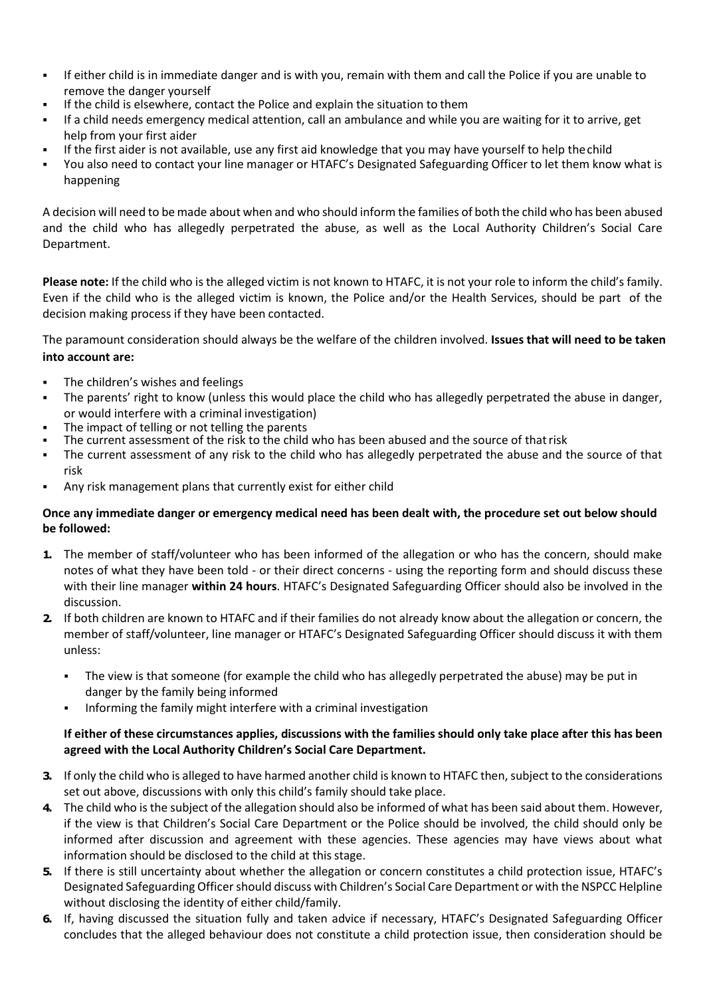- If either child is in immediate danger and is with you, remain with them and call the Police if you are unable to remove the danger yourself
- If the child is elsewhere, contact the Police and explain the situation to them
- If a child needs emergency medical attention, call an ambulance and while you are waiting for it to arrive, get help from your first aider
- If the first aider is not available, use any first aid knowledge that you may have yourself to help the child
- You also need to contact your line manager or HTAFC's Designated Safeguarding Officer to let them know what is happening

A decision will need to be made about when and who should inform the families of both the child who has been abused and the child who has allegedly perpetrated the abuse, as well as the Local Authority Children's Social Care Department.

**Please note:** If the child who is the alleged victim is not known to HTAFC, it is not your role to inform the child's family. Even if the child who is the alleged victim is known, the Police and/or the Health Services, should be part of the decision making process if they have been contacted.

The paramount consideration should always be the welfare of the children involved. **Issues that will need to be taken into account are:**

- The children's wishes and feelings
- The parents' right to know (unless this would place the child who has allegedly perpetrated the abuse in danger, or would interfere with a criminal investigation)
- The impact of telling or not telling the parents
- The current assessment of the risk to the child who has been abused and the source of that risk
- The current assessment of any risk to the child who has allegedly perpetrated the abuse and the source of that risk
- Any risk management plans that currently exist for either child

### **Once any immediate danger or emergency medical need has been dealt with, the procedure set out below should be followed:**

- **1.** The member of staff/volunteer who has been informed of the allegation or who has the concern, should make notes of what they have been told - or their direct concerns - using the reporting form and should discuss these with their line manager **within 24 hours**. HTAFC's Designated Safeguarding Officer should also be involved in the discussion.
- **2.** If both children are known to HTAFC and if their families do not already know about the allegation or concern, the member of staff/volunteer, line manager or HTAFC's Designated Safeguarding Officer should discuss it with them unless:
	- The view is that someone (for example the child who has allegedly perpetrated the abuse) may be put in danger by the family being informed
	- Informing the family might interfere with a criminal investigation

### **If either of these circumstances applies, discussions with the families should only take place after this has been agreed with the Local Authority Children's Social Care Department.**

- **3.** If only the child who is alleged to have harmed another child is known to HTAFC then, subject to the considerations set out above, discussions with only this child's family should take place.
- **4.** The child who is the subject of the allegation should also be informed of what has been said about them. However, if the view is that Children's Social Care Department or the Police should be involved, the child should only be informed after discussion and agreement with these agencies. These agencies may have views about what information should be disclosed to the child at this stage.
- **5.** If there is still uncertainty about whether the allegation or concern constitutes a child protection issue, HTAFC's Designated Safeguarding Officer should discuss with Children's Social Care Department or with the NSPCC Helpline without disclosing the identity of either child/family.
- **6.** If, having discussed the situation fully and taken advice if necessary, HTAFC's Designated Safeguarding Officer concludes that the alleged behaviour does not constitute a child protection issue, then consideration should be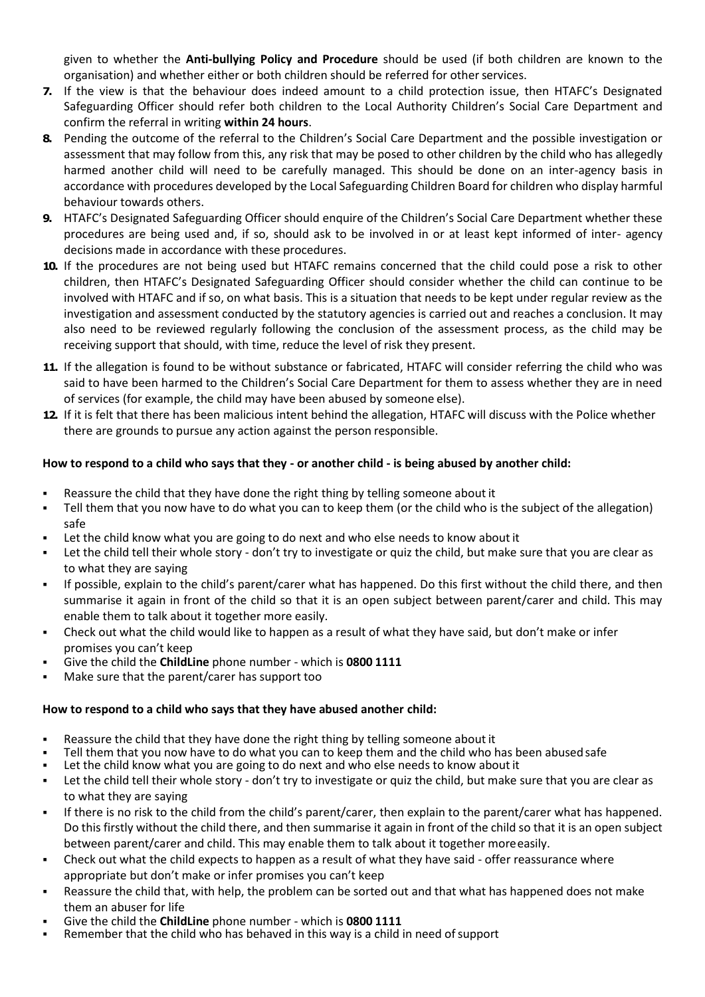given to whether the **Anti-bullying Policy and Procedure** should be used (if both children are known to the organisation) and whether either or both children should be referred for other services.

- **7.** If the view is that the behaviour does indeed amount to a child protection issue, then HTAFC's Designated Safeguarding Officer should refer both children to the Local Authority Children's Social Care Department and confirm the referral in writing **within 24 hours**.
- **8.** Pending the outcome of the referral to the Children's Social Care Department and the possible investigation or assessment that may follow from this, any risk that may be posed to other children by the child who has allegedly harmed another child will need to be carefully managed. This should be done on an inter-agency basis in accordance with procedures developed by the Local Safeguarding Children Board for children who display harmful behaviour towards others.
- **9.** HTAFC's Designated Safeguarding Officer should enquire of the Children's Social Care Department whether these procedures are being used and, if so, should ask to be involved in or at least kept informed of inter- agency decisions made in accordance with these procedures.
- **10.** If the procedures are not being used but HTAFC remains concerned that the child could pose a risk to other children, then HTAFC's Designated Safeguarding Officer should consider whether the child can continue to be involved with HTAFC and if so, on what basis. This is a situation that needs to be kept under regular review as the investigation and assessment conducted by the statutory agencies is carried out and reaches a conclusion. It may also need to be reviewed regularly following the conclusion of the assessment process, as the child may be receiving support that should, with time, reduce the level of risk they present.
- **11.** If the allegation is found to be without substance or fabricated, HTAFC will consider referring the child who was said to have been harmed to the Children's Social Care Department for them to assess whether they are in need of services (for example, the child may have been abused by someone else).
- **12.** If it is felt that there has been malicious intent behind the allegation, HTAFC will discuss with the Police whether there are grounds to pursue any action against the person responsible.

### **How to respond to a child who says that they - or another child - is being abused by another child:**

- Reassure the child that they have done the right thing by telling someone about it
- Tell them that you now have to do what you can to keep them (or the child who is the subject of the allegation) safe
- Let the child know what you are going to do next and who else needs to know about it
- Let the child tell their whole story don't try to investigate or quiz the child, but make sure that you are clear as to what they are saying
- If possible, explain to the child's parent/carer what has happened. Do this first without the child there, and then summarise it again in front of the child so that it is an open subject between parent/carer and child. This may enable them to talk about it together more easily.
- Check out what the child would like to happen as a result of what they have said, but don't make or infer promises you can't keep
- Give the child the **ChildLine** phone number which is **0800 1111**
- Make sure that the parent/carer has support too

#### **How to respond to a child who says that they have abused another child:**

- Reassure the child that they have done the right thing by telling someone about it
- Tell them that you now have to do what you can to keep them and the child who has been abused safe
- Let the child know what you are going to do next and who else needs to know about it
- Let the child tell their whole story don't try to investigate or quiz the child, but make sure that you are clear as to what they are saying
- If there is no risk to the child from the child's parent/carer, then explain to the parent/carer what has happened. Do this firstly without the child there, and then summarise it again in front of the child so that it is an open subject between parent/carer and child. This may enable them to talk about it together moreeasily.
- Check out what the child expects to happen as a result of what they have said offer reassurance where appropriate but don't make or infer promises you can't keep
- Reassure the child that, with help, the problem can be sorted out and that what has happened does not make them an abuser for life
- Give the child the **ChildLine** phone number which is **0800 1111**
- Remember that the child who has behaved in this way is a child in need of support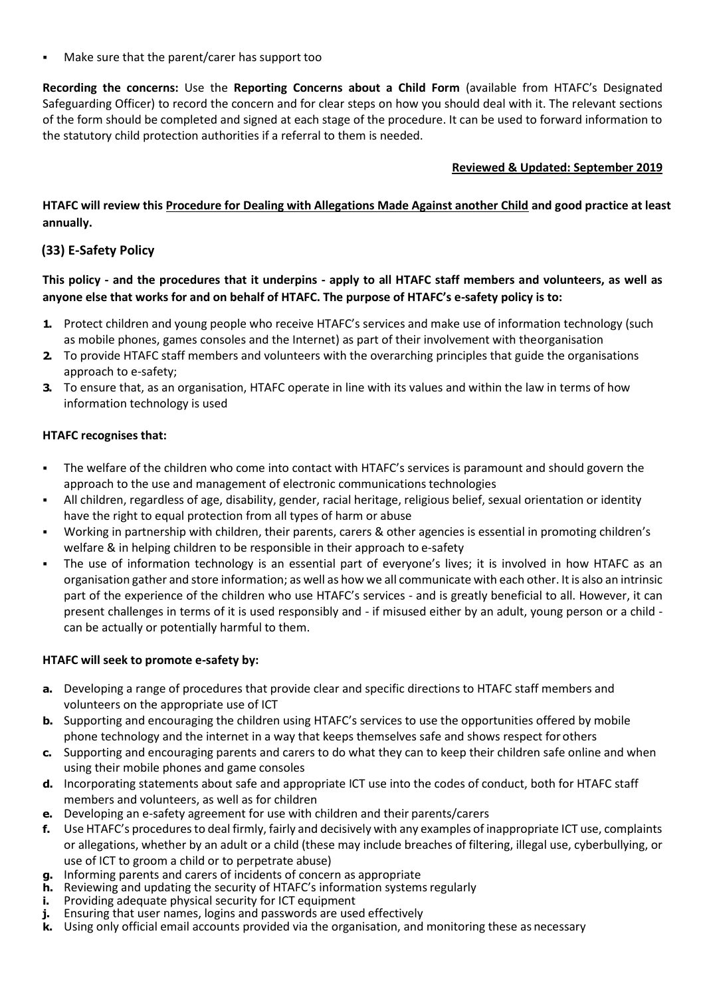Make sure that the parent/carer has support too

**Recording the concerns:** Use the **Reporting Concerns about a Child Form** (available from HTAFC's Designated Safeguarding Officer) to record the concern and for clear steps on how you should deal with it. The relevant sections of the form should be completed and signed at each stage of the procedure. It can be used to forward information to the statutory child protection authorities if a referral to them is needed.

### **Reviewed & Updated: September 2019**

**HTAFC will review this Procedure for Dealing with Allegations Made Against another Child and good practice at least annually.**

# **(33) E-Safety Policy**

**This policy - and the procedures that it underpins - apply to all HTAFC staff members and volunteers, as well as anyone else that works for and on behalf of HTAFC. The purpose of HTAFC's e-safety policy is to:**

- **1.** Protect children and young people who receive HTAFC's services and make use of information technology (such as mobile phones, games consoles and the Internet) as part of their involvement with theorganisation
- **2.** To provide HTAFC staff members and volunteers with the overarching principles that guide the organisations approach to e-safety;
- **3.** To ensure that, as an organisation, HTAFC operate in line with its values and within the law in terms of how information technology is used

### **HTAFC recognises that:**

- The welfare of the children who come into contact with HTAFC's services is paramount and should govern the approach to the use and management of electronic communications technologies
- All children, regardless of age, disability, gender, racial heritage, religious belief, sexual orientation or identity have the right to equal protection from all types of harm or abuse
- Working in partnership with children, their parents, carers & other agencies is essential in promoting children's welfare & in helping children to be responsible in their approach to e-safety
- The use of information technology is an essential part of everyone's lives; it is involved in how HTAFC as an organisation gather and store information; as well as how we all communicate with each other. It is also an intrinsic part of the experience of the children who use HTAFC's services - and is greatly beneficial to all. However, it can present challenges in terms of it is used responsibly and - if misused either by an adult, young person or a child can be actually or potentially harmful to them.

### **HTAFC will seek to promote e-safety by:**

- **a.** Developing a range of procedures that provide clear and specific directions to HTAFC staff members and volunteers on the appropriate use of ICT
- **b.** Supporting and encouraging the children using HTAFC's services to use the opportunities offered by mobile phone technology and the internet in a way that keeps themselves safe and shows respect for others
- **c.** Supporting and encouraging parents and carers to do what they can to keep their children safe online and when using their mobile phones and game consoles
- **d.** Incorporating statements about safe and appropriate ICT use into the codes of conduct, both for HTAFC staff members and volunteers, as well as for children
- **e.** Developing an e-safety agreement for use with children and their parents/carers
- **f.** Use HTAFC's procedures to deal firmly, fairly and decisively with any examples of inappropriate ICT use, complaints or allegations, whether by an adult or a child (these may include breaches of filtering, illegal use, cyberbullying, or use of ICT to groom a child or to perpetrate abuse)
- **g.** Informing parents and carers of incidents of concern as appropriate
- **h.** Reviewing and updating the security of HTAFC's information systems regularly
- **i.** Providing adequate physical security for ICT equipment
- **j.** Ensuring that user names, logins and passwords are used effectively
- **k.** Using only official email accounts provided via the organisation, and monitoring these as necessary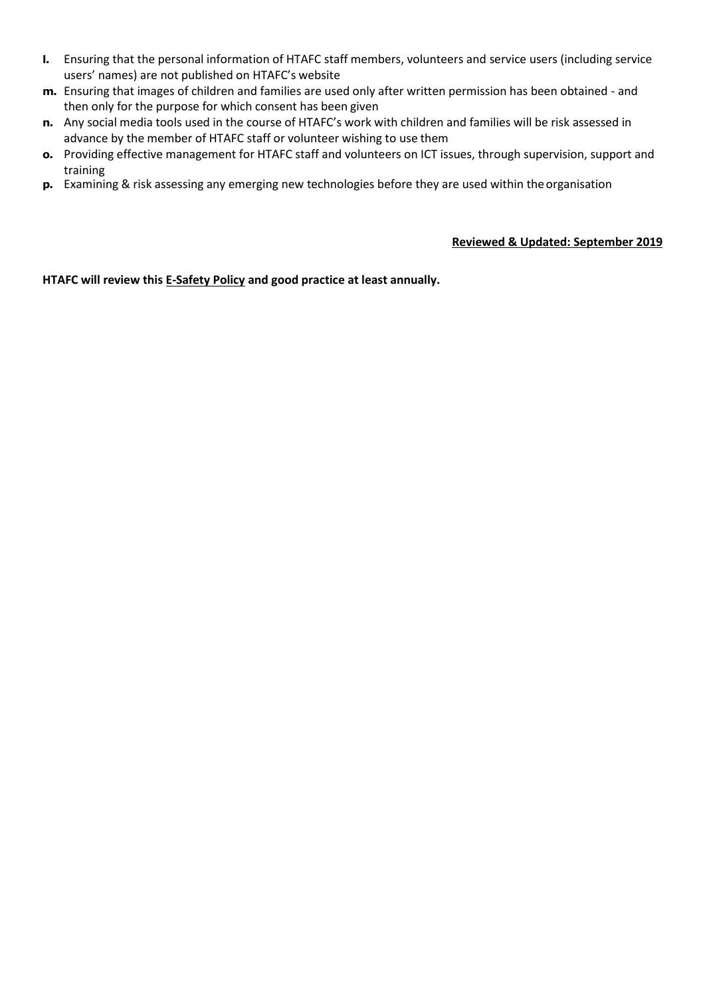- **l.** Ensuring that the personal information of HTAFC staff members, volunteers and service users (including service users' names) are not published on HTAFC's website
- **m.** Ensuring that images of children and families are used only after written permission has been obtained and then only for the purpose for which consent has been given
- **n.** Any social media tools used in the course of HTAFC's work with children and families will be risk assessed in advance by the member of HTAFC staff or volunteer wishing to use them
- **o.** Providing effective management for HTAFC staff and volunteers on ICT issues, through supervision, support and training
- **p.** Examining & risk assessing any emerging new technologies before they are used within the organisation

#### **Reviewed & Updated: September 2019**

**HTAFC will review this E-Safety Policy and good practice at least annually.**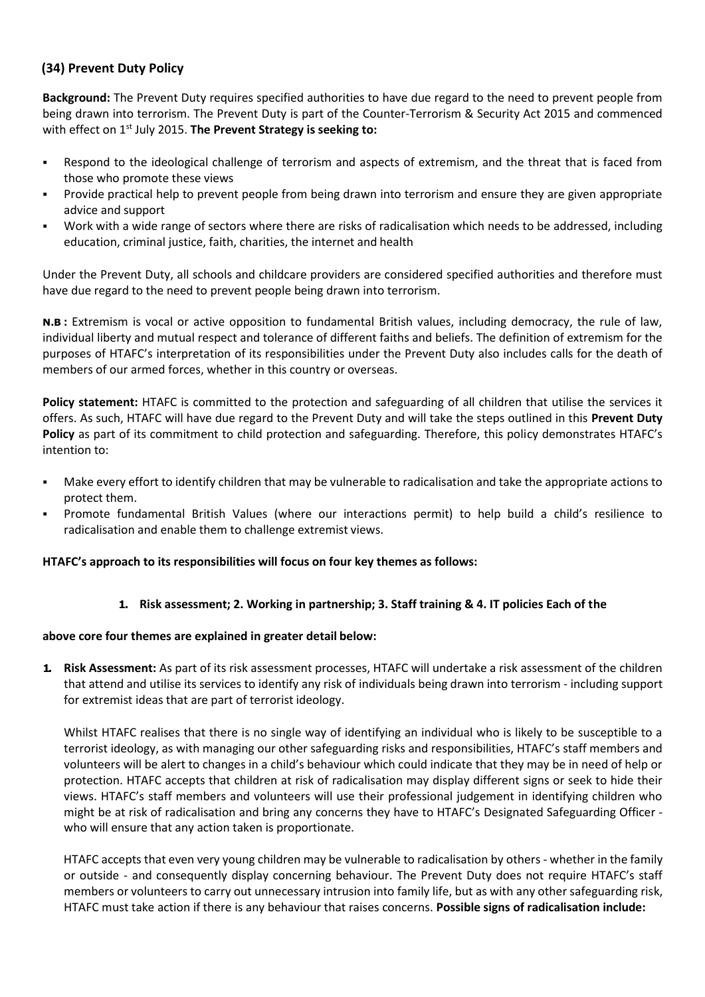# **(34) Prevent Duty Policy**

**Background:** The Prevent Duty requires specified authorities to have due regard to the need to prevent people from being drawn into terrorism. The Prevent Duty is part of the Counter-Terrorism & Security Act 2015 and commenced with effect on 1<sup>st</sup> July 2015. The Prevent Strategy is seeking to:

- Respond to the ideological challenge of terrorism and aspects of extremism, and the threat that is faced from those who promote these views
- Provide practical help to prevent people from being drawn into terrorism and ensure they are given appropriate advice and support
- Work with a wide range of sectors where there are risks of radicalisation which needs to be addressed, including education, criminal justice, faith, charities, the internet and health

Under the Prevent Duty, all schools and childcare providers are considered specified authorities and therefore must have due regard to the need to prevent people being drawn into terrorism.

**N.B :** Extremism is vocal or active opposition to fundamental British values, including democracy, the rule of law, individual liberty and mutual respect and tolerance of different faiths and beliefs. The definition of extremism for the purposes of HTAFC's interpretation of its responsibilities under the Prevent Duty also includes calls for the death of members of our armed forces, whether in this country or overseas.

**Policy statement:** HTAFC is committed to the protection and safeguarding of all children that utilise the services it offers. As such, HTAFC will have due regard to the Prevent Duty and will take the steps outlined in this **Prevent Duty Policy** as part of its commitment to child protection and safeguarding. Therefore, this policy demonstrates HTAFC's intention to:

- Make every effort to identify children that may be vulnerable to radicalisation and take the appropriate actions to protect them.
- Promote fundamental British Values (where our interactions permit) to help build a child's resilience to radicalisation and enable them to challenge extremist views.

### **HTAFC's approach to its responsibilities will focus on four key themes as follows:**

### **1. Risk assessment; 2. Working in partnership; 3. Staff training & 4. IT policies Each of the**

#### **above core four themes are explained in greater detail below:**

**1. Risk Assessment:** As part of its risk assessment processes, HTAFC will undertake a risk assessment of the children that attend and utilise its services to identify any risk of individuals being drawn into terrorism - including support for extremist ideas that are part of terrorist ideology.

Whilst HTAFC realises that there is no single way of identifying an individual who is likely to be susceptible to a terrorist ideology, as with managing our other safeguarding risks and responsibilities, HTAFC's staff members and volunteers will be alert to changes in a child's behaviour which could indicate that they may be in need of help or protection. HTAFC accepts that children at risk of radicalisation may display different signs or seek to hide their views. HTAFC's staff members and volunteers will use their professional judgement in identifying children who might be at risk of radicalisation and bring any concerns they have to HTAFC's Designated Safeguarding Officer who will ensure that any action taken is proportionate.

HTAFC accepts that even very young children may be vulnerable to radicalisation by others - whether in the family or outside - and consequently display concerning behaviour. The Prevent Duty does not require HTAFC's staff members or volunteers to carry out unnecessary intrusion into family life, but as with any other safeguarding risk, HTAFC must take action if there is any behaviour that raises concerns. **Possible signs of radicalisation include:**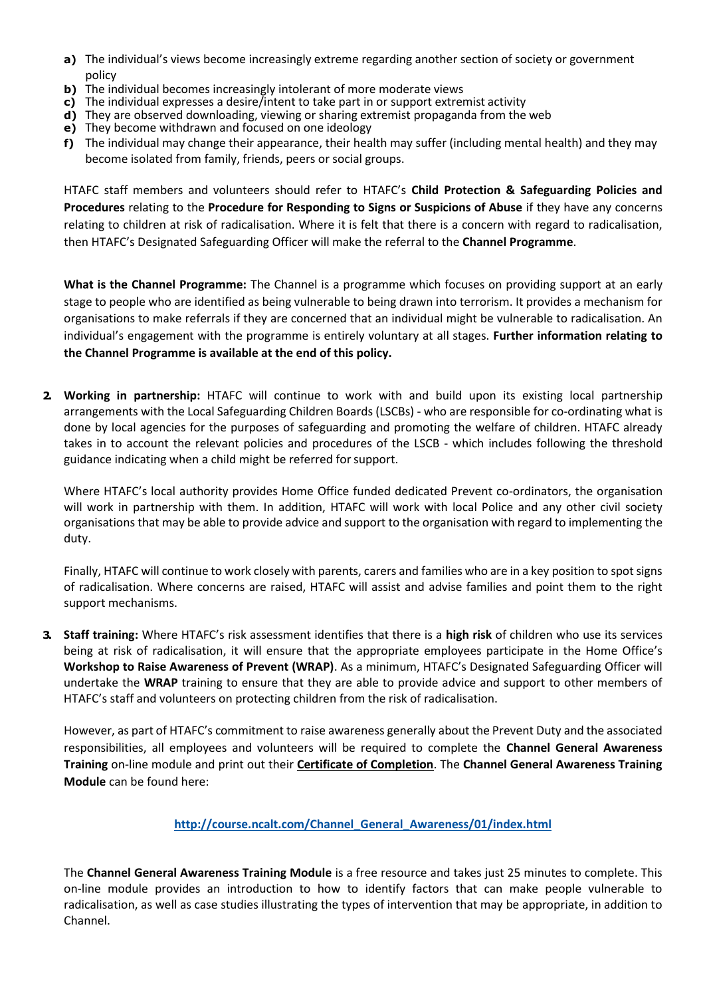- **a)** The individual's views become increasingly extreme regarding another section of society or government policy
- **b)** The individual becomes increasingly intolerant of more moderate views
- **c)** The individual expresses a desire/intent to take part in or support extremist activity
- **d)** They are observed downloading, viewing or sharing extremist propaganda from the web
- **e)** They become withdrawn and focused on one ideology
- **f)** The individual may change their appearance, their health may suffer (including mental health) and they may become isolated from family, friends, peers or social groups.

HTAFC staff members and volunteers should refer to HTAFC's **Child Protection & Safeguarding Policies and Procedures** relating to the **Procedure for Responding to Signs or Suspicions of Abuse** if they have any concerns relating to children at risk of radicalisation. Where it is felt that there is a concern with regard to radicalisation, then HTAFC's Designated Safeguarding Officer will make the referral to the **Channel Programme**.

**What is the Channel Programme:** The Channel is a programme which focuses on providing support at an early stage to people who are identified as being vulnerable to being drawn into terrorism. It provides a mechanism for organisations to make referrals if they are concerned that an individual might be vulnerable to radicalisation. An individual's engagement with the programme is entirely voluntary at all stages. **Further information relating to the Channel Programme is available at the end of this policy.**

**2. Working in partnership:** HTAFC will continue to work with and build upon its existing local partnership arrangements with the Local Safeguarding Children Boards (LSCBs) - who are responsible for co-ordinating what is done by local agencies for the purposes of safeguarding and promoting the welfare of children. HTAFC already takes in to account the relevant policies and procedures of the LSCB - which includes following the threshold guidance indicating when a child might be referred forsupport.

Where HTAFC's local authority provides Home Office funded dedicated Prevent co-ordinators, the organisation will work in partnership with them. In addition, HTAFC will work with local Police and any other civil society organisations that may be able to provide advice and support to the organisation with regard to implementing the duty.

Finally, HTAFC will continue to work closely with parents, carers and families who are in a key position to spot signs of radicalisation. Where concerns are raised, HTAFC will assist and advise families and point them to the right support mechanisms.

**3. Staff training:** Where HTAFC's risk assessment identifies that there is a **high risk** of children who use its services being at risk of radicalisation, it will ensure that the appropriate employees participate in the Home Office's **Workshop to Raise Awareness of Prevent (WRAP)**. As a minimum, HTAFC's Designated Safeguarding Officer will undertake the **WRAP** training to ensure that they are able to provide advice and support to other members of HTAFC's staff and volunteers on protecting children from the risk of radicalisation.

However, as part of HTAFC's commitment to raise awareness generally about the Prevent Duty and the associated responsibilities, all employees and volunteers will be required to complete the **Channel General Awareness Training** on-line module and print out their **Certificate of Completion**. The **Channel General Awareness Training Module** can be found here:

### **[http://course.ncalt.com/Channel\\_General\\_Awareness/01/index.html](http://course.ncalt.com/Channel_General_Awareness/01/index.html)**

The **Channel General Awareness Training Module** is a free resource and takes just 25 minutes to complete. This on-line module provides an introduction to how to identify factors that can make people vulnerable to radicalisation, as well as case studies illustrating the types of intervention that may be appropriate, in addition to Channel.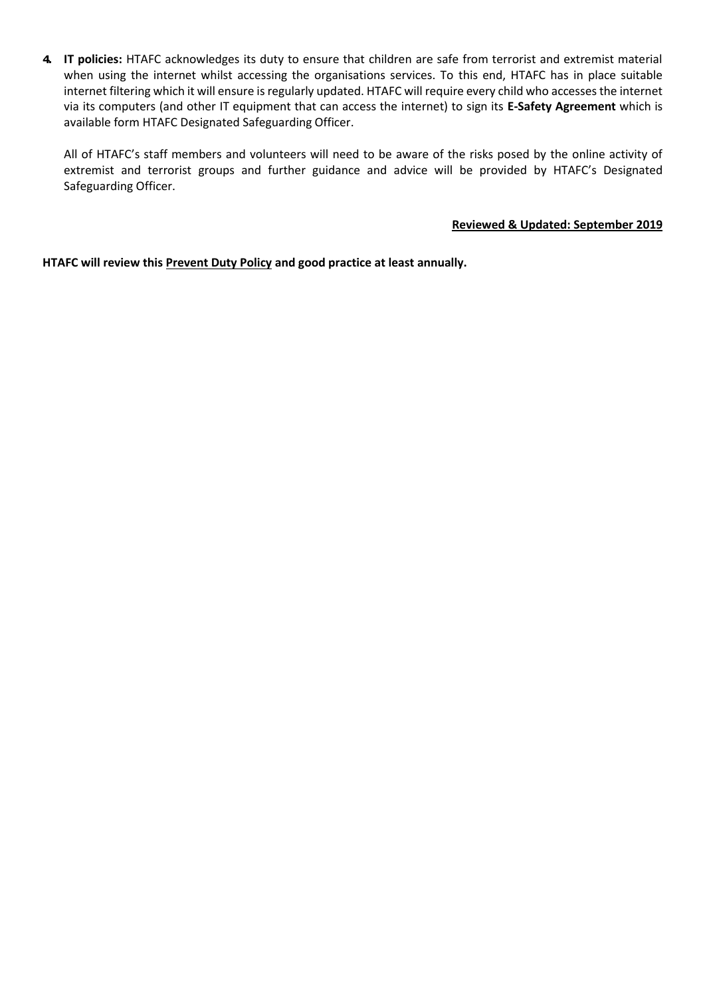**4. IT policies:** HTAFC acknowledges its duty to ensure that children are safe from terrorist and extremist material when using the internet whilst accessing the organisations services. To this end, HTAFC has in place suitable internet filtering which it will ensure is regularly updated. HTAFC will require every child who accesses the internet via its computers (and other IT equipment that can access the internet) to sign its **E-Safety Agreement** which is available form HTAFC Designated Safeguarding Officer.

All of HTAFC's staff members and volunteers will need to be aware of the risks posed by the online activity of extremist and terrorist groups and further guidance and advice will be provided by HTAFC's Designated Safeguarding Officer.

#### **Reviewed & Updated: September 2019**

**HTAFC will review this Prevent Duty Policy and good practice at least annually.**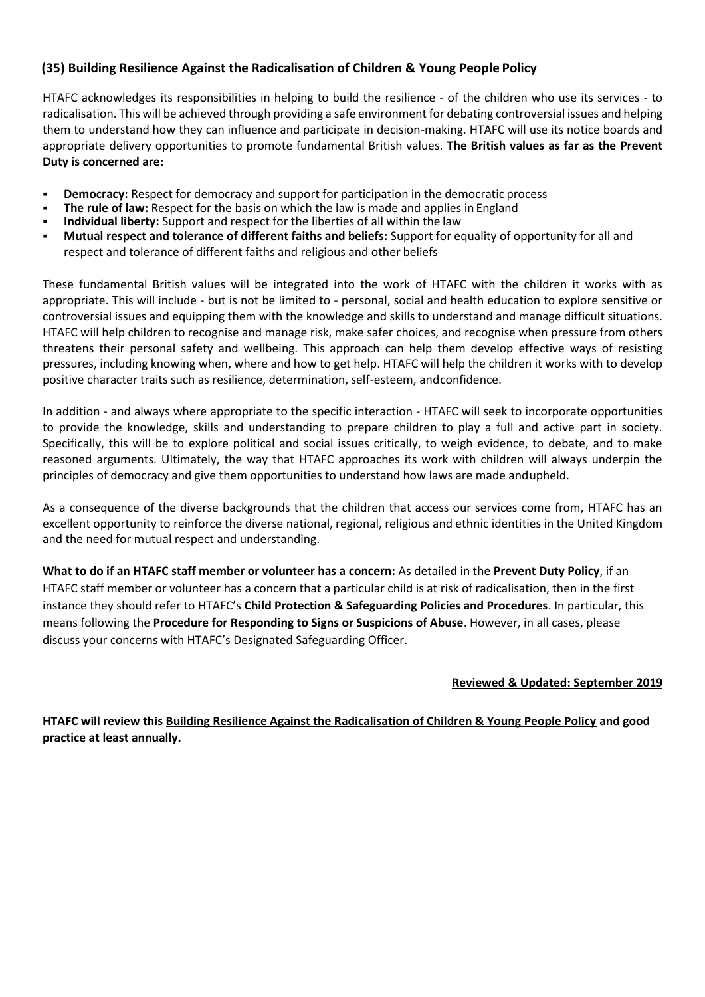# **(35) Building Resilience Against the Radicalisation of Children & Young People Policy**

HTAFC acknowledges its responsibilities in helping to build the resilience - of the children who use its services - to radicalisation. This will be achieved through providing a safe environment for debating controversial issues and helping them to understand how they can influence and participate in decision-making. HTAFC will use its notice boards and appropriate delivery opportunities to promote fundamental British values. **The British values as far as the Prevent Duty is concerned are:**

- **Democracy:** Respect for democracy and support for participation in the democratic process
- **The rule of law:** Respect for the basis on which the law is made and applies in England
- Individual liberty: Support and respect for the liberties of all within the law
- **Mutual respect and tolerance of different faiths and beliefs:** Support for equality of opportunity for all and respect and tolerance of different faiths and religious and other beliefs

These fundamental British values will be integrated into the work of HTAFC with the children it works with as appropriate. This will include - but is not be limited to - personal, social and health education to explore sensitive or controversial issues and equipping them with the knowledge and skills to understand and manage difficult situations. HTAFC will help children to recognise and manage risk, make safer choices, and recognise when pressure from others threatens their personal safety and wellbeing. This approach can help them develop effective ways of resisting pressures, including knowing when, where and how to get help. HTAFC will help the children it works with to develop positive character traits such as resilience, determination, self-esteem, andconfidence.

In addition - and always where appropriate to the specific interaction - HTAFC will seek to incorporate opportunities to provide the knowledge, skills and understanding to prepare children to play a full and active part in society. Specifically, this will be to explore political and social issues critically, to weigh evidence, to debate, and to make reasoned arguments. Ultimately, the way that HTAFC approaches its work with children will always underpin the principles of democracy and give them opportunities to understand how laws are made andupheld.

As a consequence of the diverse backgrounds that the children that access our services come from, HTAFC has an excellent opportunity to reinforce the diverse national, regional, religious and ethnic identities in the United Kingdom and the need for mutual respect and understanding.

**What to do if an HTAFC staff member or volunteer has a concern:** As detailed in the **Prevent Duty Policy**, if an HTAFC staff member or volunteer has a concern that a particular child is at risk of radicalisation, then in the first instance they should refer to HTAFC's **Child Protection & Safeguarding Policies and Procedures**. In particular, this means following the **Procedure for Responding to Signs or Suspicions of Abuse**. However, in all cases, please discuss your concerns with HTAFC's Designated Safeguarding Officer.

### **Reviewed & Updated: September 2019**

**HTAFC will review this Building Resilience Against the Radicalisation of Children & Young People Policy and good practice at least annually.**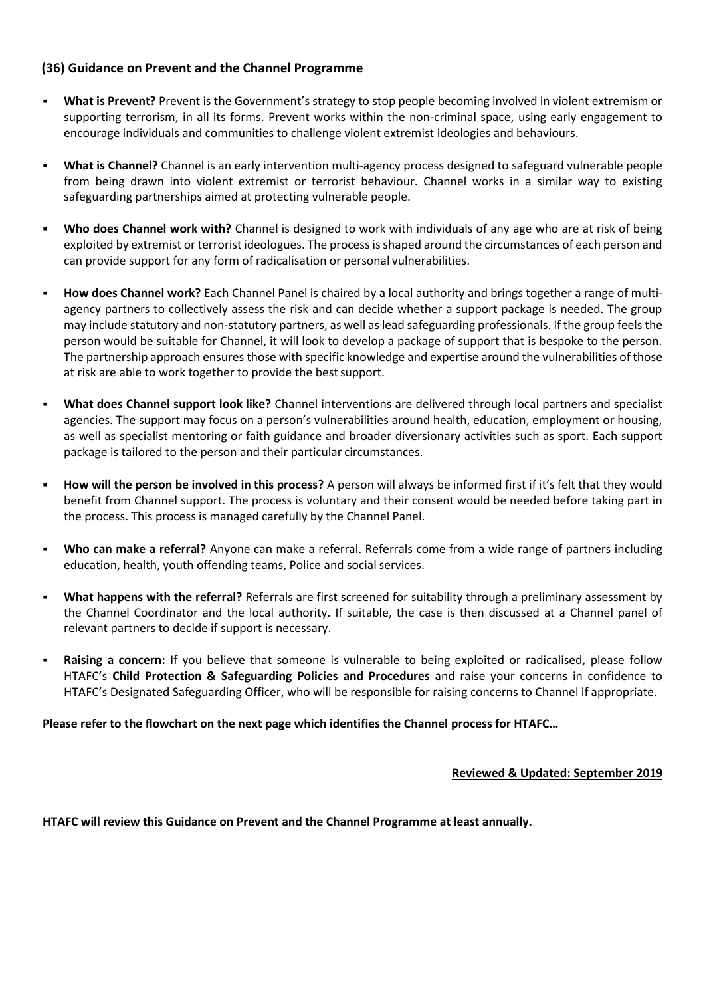# **(36) Guidance on Prevent and the Channel Programme**

- **What is Prevent?** Prevent is the Government's strategy to stop people becoming involved in violent extremism or supporting terrorism, in all its forms. Prevent works within the non-criminal space, using early engagement to encourage individuals and communities to challenge violent extremist ideologies and behaviours.
- **What is Channel?** Channel is an early intervention multi-agency process designed to safeguard vulnerable people from being drawn into violent extremist or terrorist behaviour. Channel works in a similar way to existing safeguarding partnerships aimed at protecting vulnerable people.
- Who does Channel work with? Channel is designed to work with individuals of any age who are at risk of being exploited by extremist or terrorist ideologues. The process is shaped around the circumstances of each person and can provide support for any form of radicalisation or personal vulnerabilities.
- How does Channel work? Each Channel Panel is chaired by a local authority and brings together a range of multiagency partners to collectively assess the risk and can decide whether a support package is needed. The group may include statutory and non-statutory partners, as well as lead safeguarding professionals. If the group feels the person would be suitable for Channel, it will look to develop a package of support that is bespoke to the person. The partnership approach ensures those with specific knowledge and expertise around the vulnerabilities of those at risk are able to work together to provide the bestsupport.
- **What does Channel support look like?** Channel interventions are delivered through local partners and specialist agencies. The support may focus on a person's vulnerabilities around health, education, employment or housing, as well as specialist mentoring or faith guidance and broader diversionary activities such as sport. Each support package is tailored to the person and their particular circumstances.
- How will the person be involved in this process? A person will always be informed first if it's felt that they would benefit from Channel support. The process is voluntary and their consent would be needed before taking part in the process. This process is managed carefully by the Channel Panel.
- Who can make a referral? Anyone can make a referral. Referrals come from a wide range of partners including education, health, youth offending teams, Police and social services.
- What happens with the referral? Referrals are first screened for suitability through a preliminary assessment by the Channel Coordinator and the local authority. If suitable, the case is then discussed at a Channel panel of relevant partners to decide if support is necessary.
- **EXEL 15 And ST AT A CONCERT A CONCERT A CONCERT A CONCERT A CONCERT A CONCERT FOLLOW Reads** a concern: If you believe that someone is vulnerable to being exploited or radicalised, please follow HTAFC's **Child Protection & Safeguarding Policies and Procedures** and raise your concerns in confidence to HTAFC's Designated Safeguarding Officer, who will be responsible for raising concerns to Channel if appropriate.

### **Please refer to the flowchart on the next page which identifies the Channel process for HTAFC…**

#### **Reviewed & Updated: September 2019**

**HTAFC will review this Guidance on Prevent and the Channel Programme at least annually.**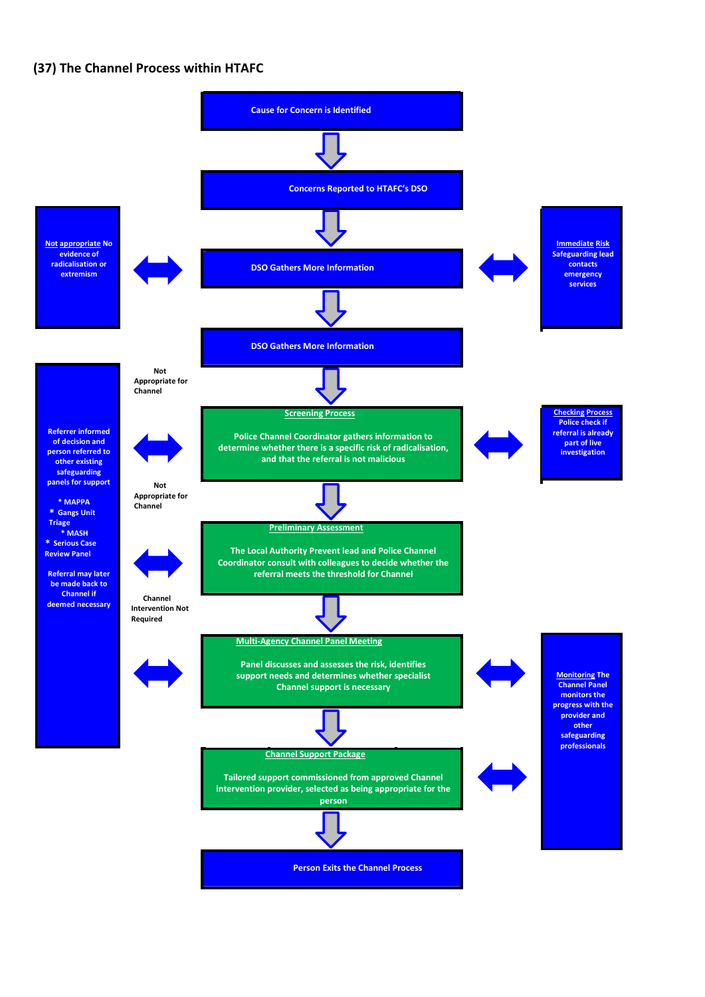### **(37) The Channel Process within HTAFC**

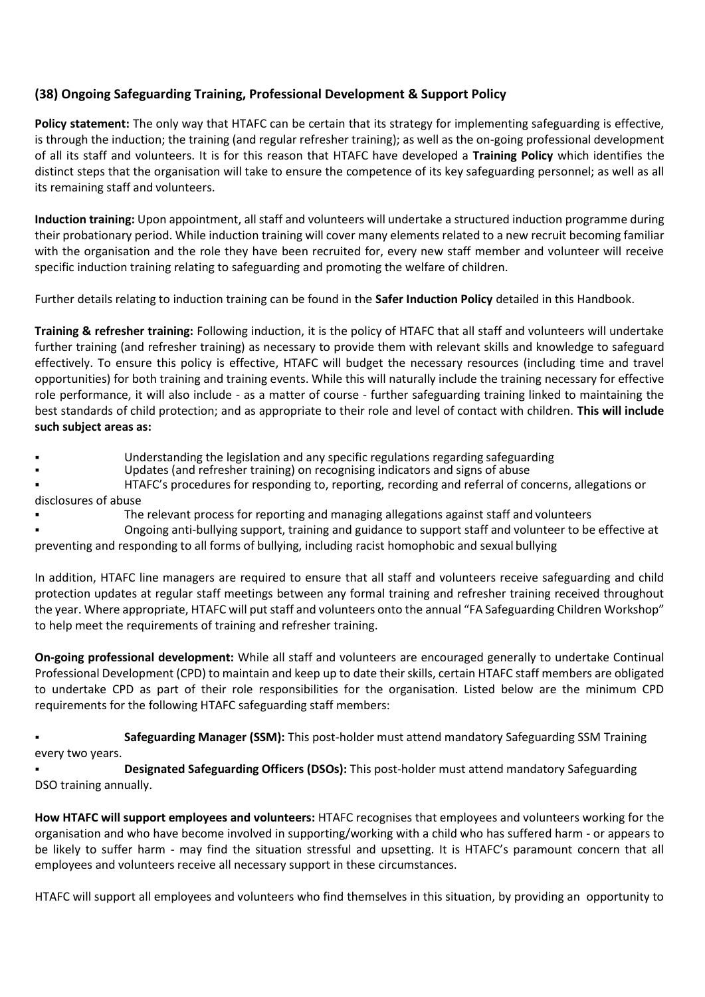# **(38) Ongoing Safeguarding Training, Professional Development & Support Policy**

**Policy statement:** The only way that HTAFC can be certain that its strategy for implementing safeguarding is effective, is through the induction; the training (and regular refresher training); as well as the on-going professional development of all its staff and volunteers. It is for this reason that HTAFC have developed a **Training Policy** which identifies the distinct steps that the organisation will take to ensure the competence of its key safeguarding personnel; as well as all its remaining staff and volunteers.

**Induction training:** Upon appointment, all staff and volunteers will undertake a structured induction programme during their probationary period. While induction training will cover many elements related to a new recruit becoming familiar with the organisation and the role they have been recruited for, every new staff member and volunteer will receive specific induction training relating to safeguarding and promoting the welfare of children.

Further details relating to induction training can be found in the **Safer Induction Policy** detailed in this Handbook.

**Training & refresher training:** Following induction, it is the policy of HTAFC that all staff and volunteers will undertake further training (and refresher training) as necessary to provide them with relevant skills and knowledge to safeguard effectively. To ensure this policy is effective, HTAFC will budget the necessary resources (including time and travel opportunities) for both training and training events. While this will naturally include the training necessary for effective role performance, it will also include - as a matter of course - further safeguarding training linked to maintaining the best standards of child protection; and as appropriate to their role and level of contact with children. **This will include such subject areas as:**

- Understanding the legislation and any specific regulations regarding safeguarding
- Updates (and refresher training) on recognising indicators and signs of abuse
- HTAFC's procedures for responding to, reporting, recording and referral of concerns, allegations or

disclosures of abuse

- The relevant process for reporting and managing allegations against staff and volunteers
- Ongoing anti-bullying support, training and guidance to support staff and volunteer to be effective at preventing and responding to all forms of bullying, including racist homophobic and sexual bullying

In addition, HTAFC line managers are required to ensure that all staff and volunteers receive safeguarding and child protection updates at regular staff meetings between any formal training and refresher training received throughout the year. Where appropriate, HTAFC will put staff and volunteers onto the annual "FA Safeguarding Children Workshop" to help meet the requirements of training and refresher training.

**On-going professional development:** While all staff and volunteers are encouraged generally to undertake Continual Professional Development (CPD) to maintain and keep up to date their skills, certain HTAFC staff members are obligated to undertake CPD as part of their role responsibilities for the organisation. Listed below are the minimum CPD requirements for the following HTAFC safeguarding staff members:

**Safeguarding Manager (SSM):** This post-holder must attend mandatory Safeguarding SSM Training every two years.

**Designated Safeguarding Officers (DSOs):** This post-holder must attend mandatory Safeguarding DSO training annually.

**How HTAFC will support employees and volunteers:** HTAFC recognises that employees and volunteers working for the organisation and who have become involved in supporting/working with a child who has suffered harm - or appears to be likely to suffer harm - may find the situation stressful and upsetting. It is HTAFC's paramount concern that all employees and volunteers receive all necessary support in these circumstances.

HTAFC will support all employees and volunteers who find themselves in this situation, by providing an opportunity to